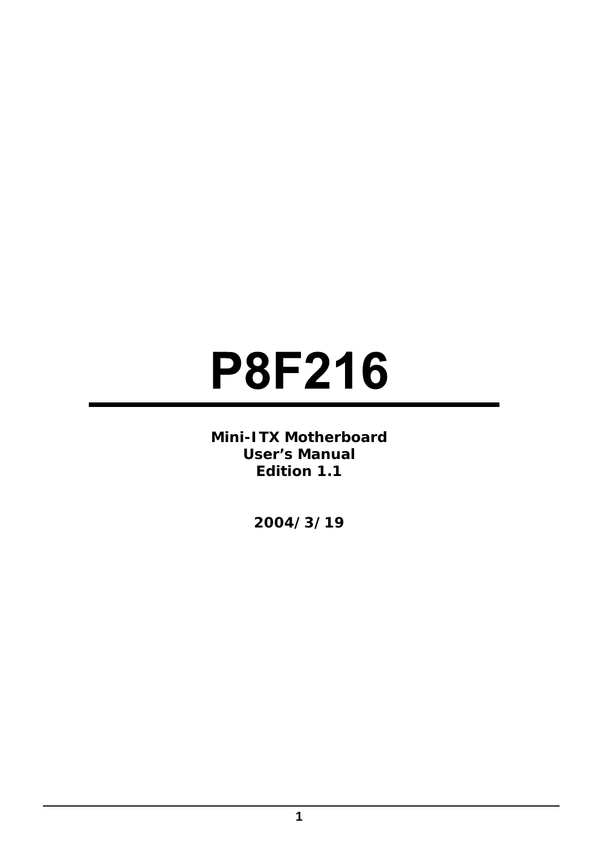# **P8F216**

**Mini-ITX Motherboard User's Manual Edition 1.1** 

**2004/3/19**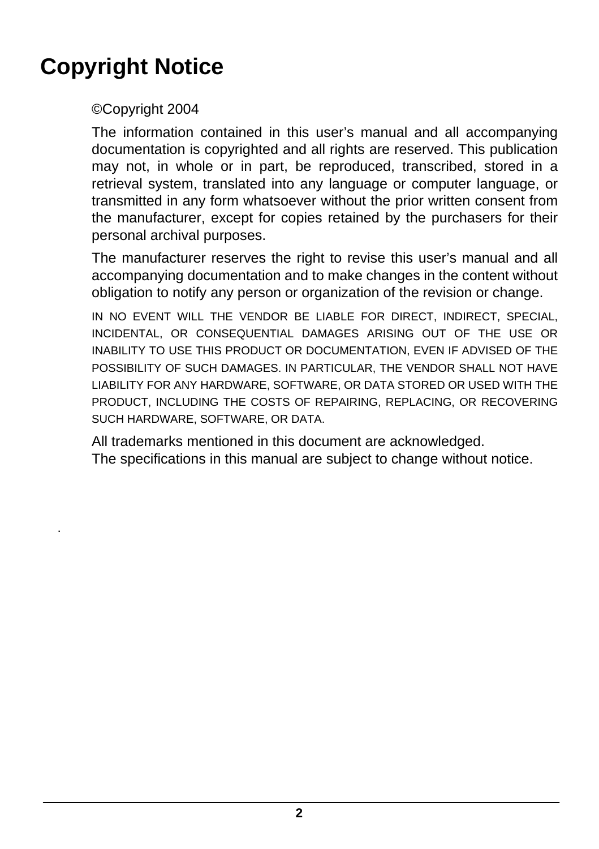# **Copyright Notice**

.

©Copyright 2004

The information contained in this user's manual and all accompanying documentation is copyrighted and all rights are reserved. This publication may not, in whole or in part, be reproduced, transcribed, stored in a retrieval system, translated into any language or computer language, or transmitted in any form whatsoever without the prior written consent from the manufacturer, except for copies retained by the purchasers for their personal archival purposes.

The manufacturer reserves the right to revise this user's manual and all accompanying documentation and to make changes in the content without obligation to notify any person or organization of the revision or change.

IN NO EVENT WILL THE VENDOR BE LIABLE FOR DIRECT, INDIRECT, SPECIAL, INCIDENTAL, OR CONSEQUENTIAL DAMAGES ARISING OUT OF THE USE OR INABILITY TO USE THIS PRODUCT OR DOCUMENTATION, EVEN IF ADVISED OF THE POSSIBILITY OF SUCH DAMAGES. IN PARTICULAR, THE VENDOR SHALL NOT HAVE LIABILITY FOR ANY HARDWARE, SOFTWARE, OR DATA STORED OR USED WITH THE PRODUCT, INCLUDING THE COSTS OF REPAIRING, REPLACING, OR RECOVERING SUCH HARDWARE, SOFTWARE, OR DATA.

All trademarks mentioned in this document are acknowledged. The specifications in this manual are subject to change without notice.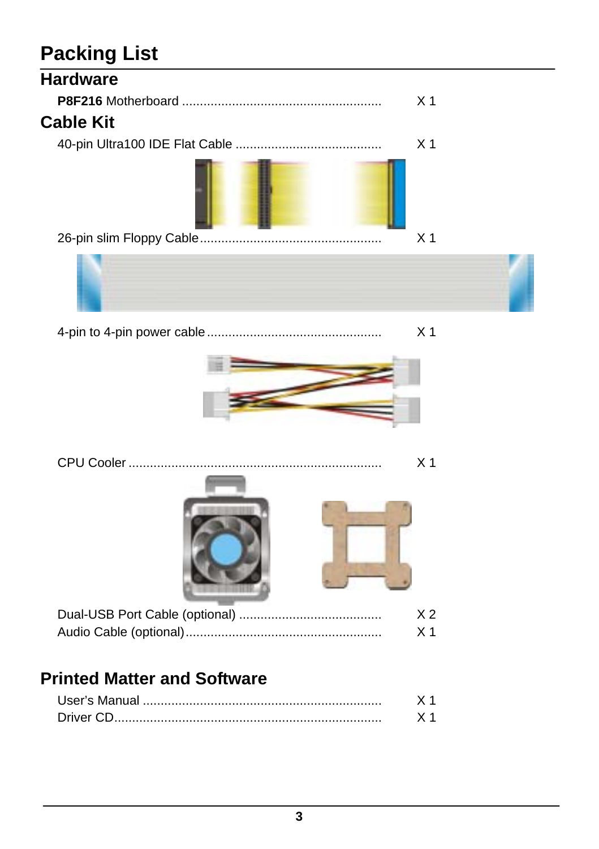# **Packing List**

| <b>Hardware</b>                    |  |
|------------------------------------|--|
| X <sub>1</sub>                     |  |
| <b>Cable Kit</b>                   |  |
| X <sub>1</sub>                     |  |
|                                    |  |
| X <sub>1</sub>                     |  |
|                                    |  |
| X <sub>1</sub>                     |  |
|                                    |  |
| X <sub>1</sub>                     |  |
| X <sub>2</sub>                     |  |
| X <sub>1</sub>                     |  |
| <b>Printed Matter and Software</b> |  |
| X <sub>1</sub>                     |  |
| X <sub>1</sub>                     |  |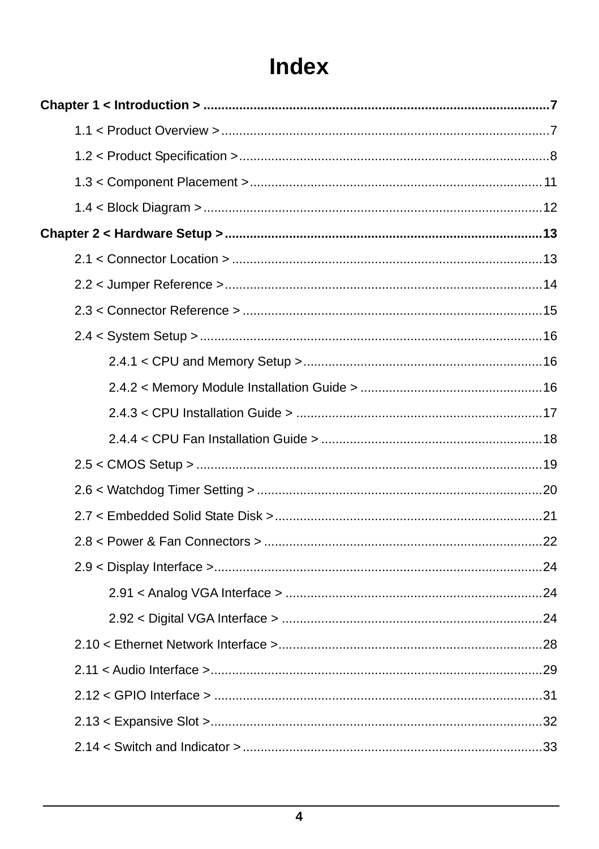# **Index**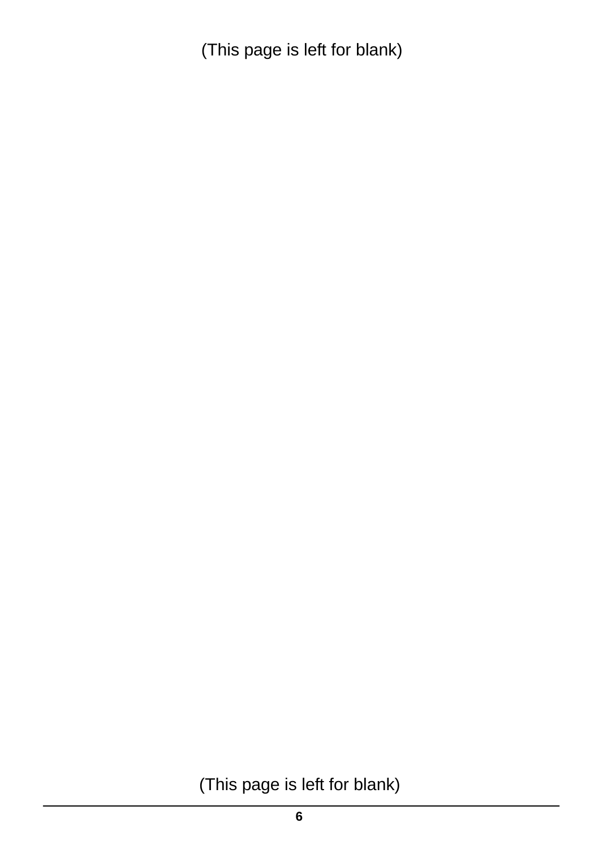(This page is left for blank)

(This page is left for blank)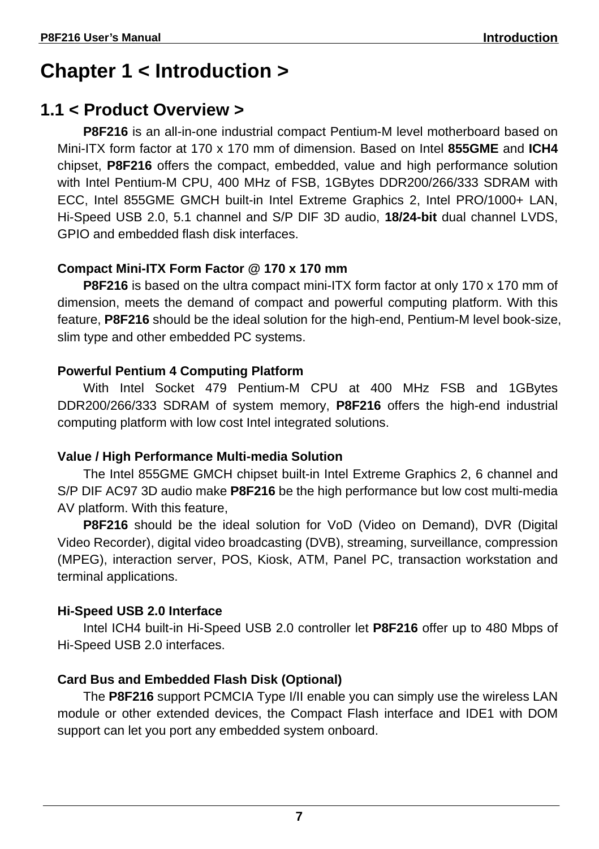# **Chapter 1 < Introduction >**

### **1.1 < Product Overview >**

**P8F216** is an all-in-one industrial compact Pentium-M level motherboard based on Mini-ITX form factor at 170 x 170 mm of dimension. Based on Intel **855GME** and **ICH4** chipset, **P8F216** offers the compact, embedded, value and high performance solution with Intel Pentium-M CPU, 400 MHz of FSB, 1GBytes DDR200/266/333 SDRAM with ECC, Intel 855GME GMCH built-in Intel Extreme Graphics 2, Intel PRO/1000+ LAN, Hi-Speed USB 2.0, 5.1 channel and S/P DIF 3D audio, **18/24-bit** dual channel LVDS, GPIO and embedded flash disk interfaces.

#### **Compact Mini-ITX Form Factor @ 170 x 170 mm**

**P8F216** is based on the ultra compact mini-ITX form factor at only 170 x 170 mm of dimension, meets the demand of compact and powerful computing platform. With this feature, **P8F216** should be the ideal solution for the high-end, Pentium-M level book-size, slim type and other embedded PC systems.

#### **Powerful Pentium 4 Computing Platform**

With Intel Socket 479 Pentium-M CPU at 400 MHz FSB and 1GBytes DDR200/266/333 SDRAM of system memory, **P8F216** offers the high-end industrial computing platform with low cost Intel integrated solutions.

#### **Value / High Performance Multi-media Solution**

The Intel 855GME GMCH chipset built-in Intel Extreme Graphics 2, 6 channel and S/P DIF AC97 3D audio make **P8F216** be the high performance but low cost multi-media AV platform. With this feature,

**P8F216** should be the ideal solution for VoD (Video on Demand), DVR (Digital Video Recorder), digital video broadcasting (DVB), streaming, surveillance, compression (MPEG), interaction server, POS, Kiosk, ATM, Panel PC, transaction workstation and terminal applications.

#### **Hi-Speed USB 2.0 Interface**

Intel ICH4 built-in Hi-Speed USB 2.0 controller let **P8F216** offer up to 480 Mbps of Hi-Speed USB 2.0 interfaces.

#### **Card Bus and Embedded Flash Disk (Optional)**

 The **P8F216** support PCMCIA Type I/II enable you can simply use the wireless LAN module or other extended devices, the Compact Flash interface and IDE1 with DOM support can let you port any embedded system onboard.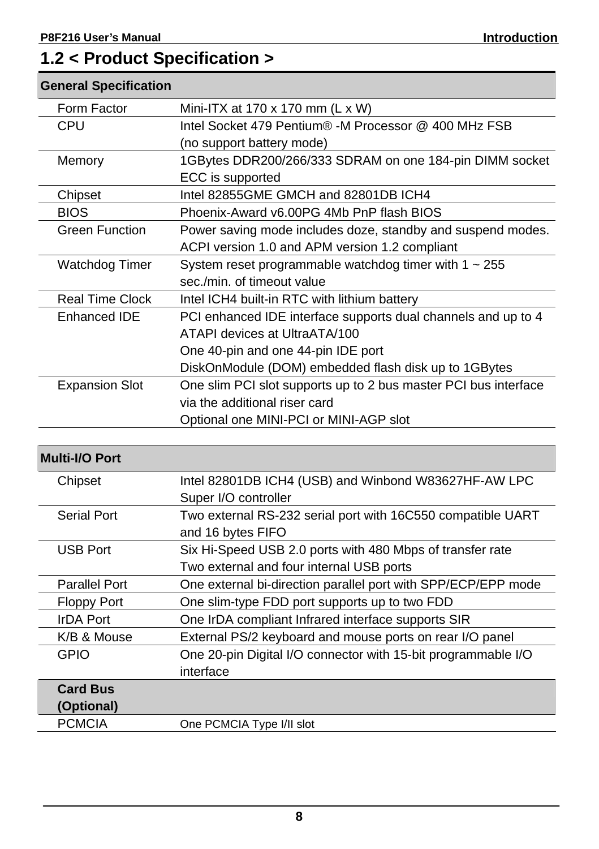# **1.2 < Product Specification >**

| <b>General Specification</b> |                                                                 |  |
|------------------------------|-----------------------------------------------------------------|--|
| Form Factor                  | Mini-ITX at 170 x 170 mm (L x W)                                |  |
| CPU                          | Intel Socket 479 Pentium® -M Processor @ 400 MHz FSB            |  |
|                              | (no support battery mode)                                       |  |
| Memory                       | 1GBytes DDR200/266/333 SDRAM on one 184-pin DIMM socket         |  |
|                              | ECC is supported                                                |  |
| Chipset                      | Intel 82855GME GMCH and 82801DB ICH4                            |  |
| <b>BIOS</b>                  | Phoenix-Award v6.00PG 4Mb PnP flash BIOS                        |  |
| <b>Green Function</b>        | Power saving mode includes doze, standby and suspend modes.     |  |
|                              | ACPI version 1.0 and APM version 1.2 compliant                  |  |
| Watchdog Timer               | System reset programmable watchdog timer with $1 \sim 255$      |  |
|                              | sec./min. of timeout value                                      |  |
| <b>Real Time Clock</b>       | Intel ICH4 built-in RTC with lithium battery                    |  |
| Enhanced IDE                 | PCI enhanced IDE interface supports dual channels and up to 4   |  |
|                              | ATAPI devices at UltraATA/100                                   |  |
|                              | One 40-pin and one 44-pin IDE port                              |  |
|                              | DiskOnModule (DOM) embedded flash disk up to 1GBytes            |  |
| <b>Expansion Slot</b>        | One slim PCI slot supports up to 2 bus master PCI bus interface |  |
|                              | via the additional riser card                                   |  |
|                              | Optional one MINI-PCI or MINI-AGP slot                          |  |
|                              |                                                                 |  |
| <b>Multi-I/O Port</b>        |                                                                 |  |
| Chipset                      | Intel 82801DB ICH4 (USB) and Winbond W83627HF-AW LPC            |  |
|                              | Super I/O controller                                            |  |
| <b>Serial Port</b>           | Two external RS-232 serial port with 16C550 compatible UART     |  |
|                              | and 16 bytes FIFO                                               |  |
| <b>USB Port</b>              | Six Hi-Speed USB 2.0 ports with 480 Mbps of transfer rate       |  |
|                              | Two external and four internal USB ports                        |  |
| <b>Parallel Port</b>         | One external bi-direction parallel port with SPP/ECP/EPP mode   |  |
| <b>Floppy Port</b>           | One slim-type FDD port supports up to two FDD                   |  |
| <b>IrDA Port</b>             | One IrDA compliant Infrared interface supports SIR              |  |
| K/B & Mouse                  | External PS/2 keyboard and mouse ports on rear I/O panel        |  |
| <b>GPIO</b>                  | One 20-pin Digital I/O connector with 15-bit programmable I/O   |  |
|                              | interface                                                       |  |
| <b>Card Bus</b>              |                                                                 |  |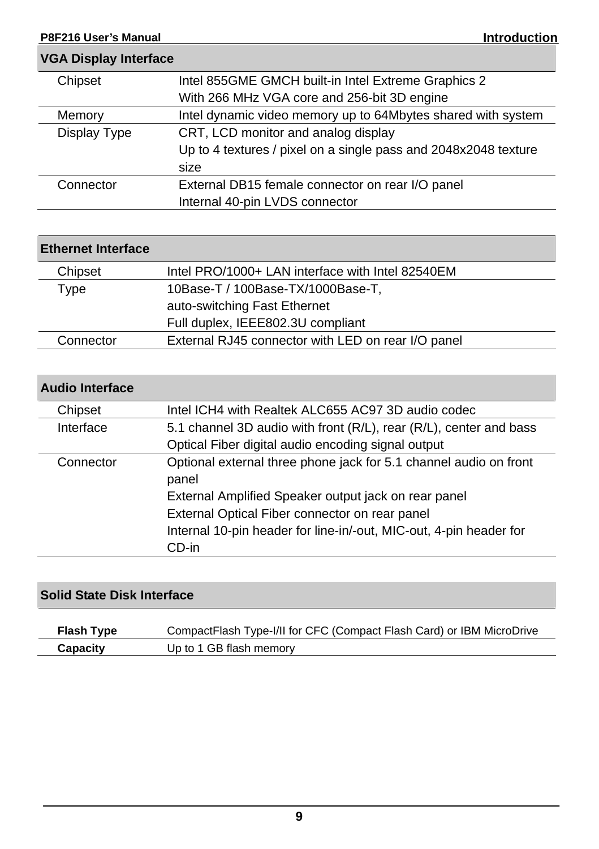**Introduction** 

#### **VGA Display Interface**

| Chipset      | Intel 855GME GMCH built-in Intel Extreme Graphics 2             |  |
|--------------|-----------------------------------------------------------------|--|
|              | With 266 MHz VGA core and 256-bit 3D engine                     |  |
| Memory       | Intel dynamic video memory up to 64Mbytes shared with system    |  |
| Display Type | CRT, LCD monitor and analog display                             |  |
|              | Up to 4 textures / pixel on a single pass and 2048x2048 texture |  |
|              | size                                                            |  |
| Connector    | External DB15 female connector on rear I/O panel                |  |
|              | Internal 40-pin LVDS connector                                  |  |

| <b>Ethernet Interface</b> |                                                    |
|---------------------------|----------------------------------------------------|
| Chipset                   | Intel PRO/1000+ LAN interface with Intel 82540EM   |
| Type                      | 10Base-T / 100Base-TX/1000Base-T,                  |
|                           | auto-switching Fast Ethernet                       |
|                           | Full duplex, IEEE802.3U compliant                  |
| Connector                 | External RJ45 connector with LED on rear I/O panel |

#### **Audio Interface**

| Chipset   | Intel ICH4 with Realtek ALC655 AC97 3D audio codec                 |  |
|-----------|--------------------------------------------------------------------|--|
| Interface | 5.1 channel 3D audio with front (R/L), rear (R/L), center and bass |  |
|           | Optical Fiber digital audio encoding signal output                 |  |
| Connector | Optional external three phone jack for 5.1 channel audio on front  |  |
|           | panel                                                              |  |
|           | External Amplified Speaker output jack on rear panel               |  |
|           | External Optical Fiber connector on rear panel                     |  |
|           | Internal 10-pin header for line-in/-out, MIC-out, 4-pin header for |  |
|           | CD-in                                                              |  |
|           |                                                                    |  |

#### **Solid State Disk Interface**

| <b>Flash Type</b> | CompactFlash Type-I/II for CFC (Compact Flash Card) or IBM MicroDrive |
|-------------------|-----------------------------------------------------------------------|
| Capacity          | Up to 1 GB flash memory                                               |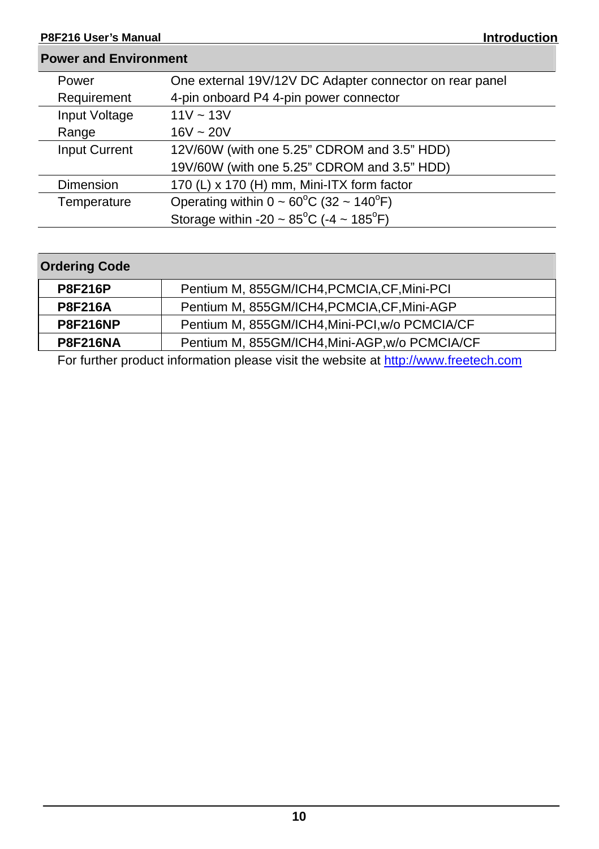#### **Power and Environment**

| Power         | One external 19V/12V DC Adapter connector on rear panel          |
|---------------|------------------------------------------------------------------|
| Requirement   | 4-pin onboard P4 4-pin power connector                           |
| Input Voltage | $11V - 13V$                                                      |
| Range         | $16V - 20V$                                                      |
| Input Current | 12V/60W (with one 5.25" CDROM and 3.5" HDD)                      |
|               | 19V/60W (with one 5.25" CDROM and 3.5" HDD)                      |
| Dimension     | 170 (L) x 170 (H) mm, Mini-ITX form factor                       |
| Temperature   | Operating within $0 \sim 60^{\circ}$ C (32 ~ 140 <sup>°</sup> F) |
|               | Storage within -20 ~ $85^{\circ}$ C (-4 ~ 185 $^{\circ}$ F)      |

| <b>Ordering Code</b> |                                                |
|----------------------|------------------------------------------------|
| <b>P8F216P</b>       | Pentium M, 855GM/ICH4, PCMCIA, CF, Mini-PCI    |
| <b>P8F216A</b>       | Pentium M, 855GM/ICH4, PCMCIA, CF, Mini-AGP    |
| <b>P8F216NP</b>      | Pentium M, 855GM/ICH4, Mini-PCI, w/o PCMCIA/CF |
| <b>P8F216NA</b>      | Pentium M, 855GM/ICH4, Mini-AGP, w/o PCMCIA/CF |
|                      |                                                |

For further product information please visit the website at http://www.freetech.com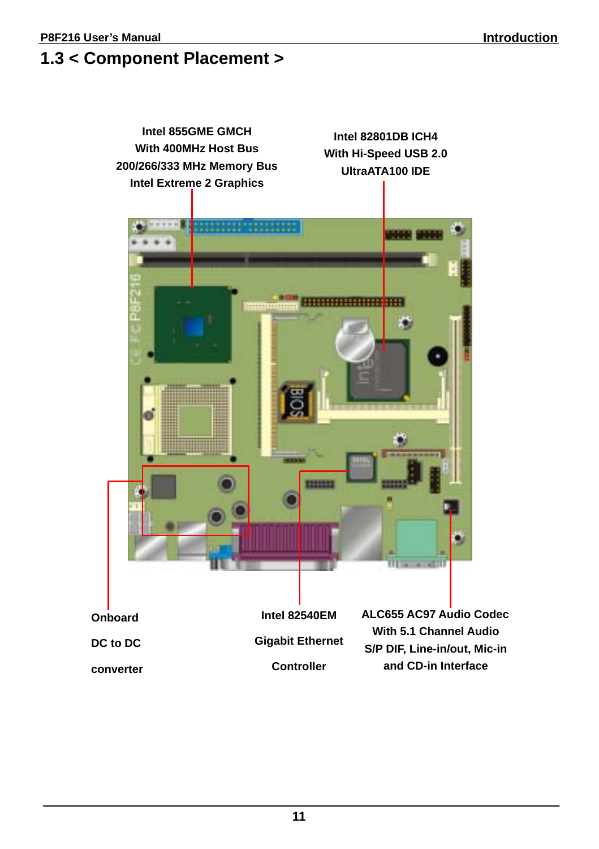### **1.3 < Component Placement >**

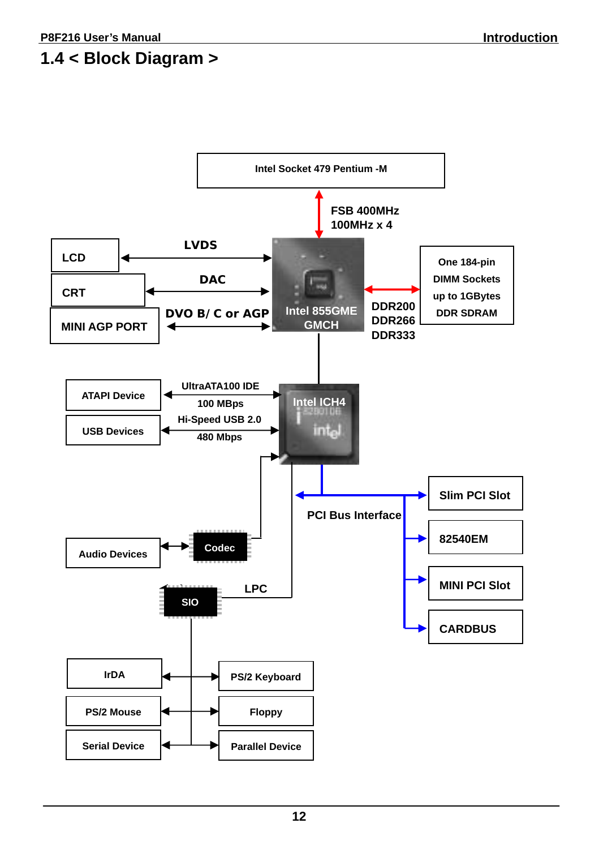### **1.4 < Block Diagram >**

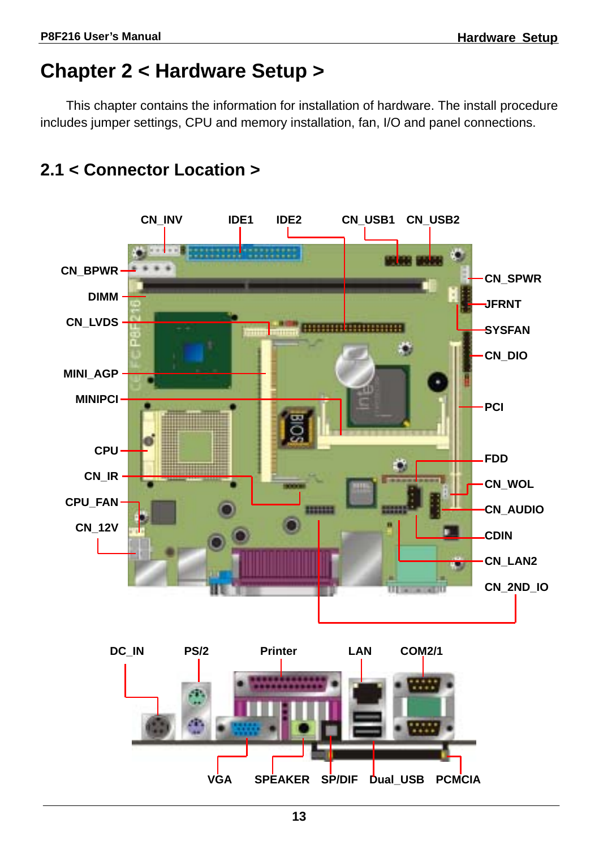# **Chapter 2 < Hardware Setup >**

This chapter contains the information for installation of hardware. The install procedure includes jumper settings, CPU and memory installation, fan, I/O and panel connections.

# **2.1 < Connector Location >**



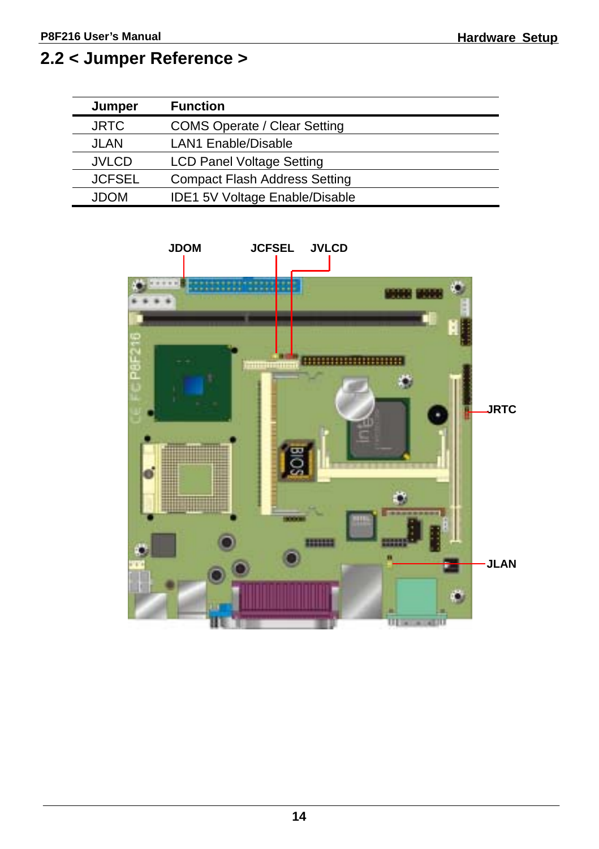# **2.2 < Jumper Reference >**

| Jumper        | <b>Function</b>                      |
|---------------|--------------------------------------|
| <b>JRTC</b>   | COMS Operate / Clear Setting         |
| JLAN          | LAN1 Enable/Disable                  |
| <b>JVLCD</b>  | <b>LCD Panel Voltage Setting</b>     |
| <b>JCFSEL</b> | <b>Compact Flash Address Setting</b> |
| MOQL.         | IDE1 5V Voltage Enable/Disable       |

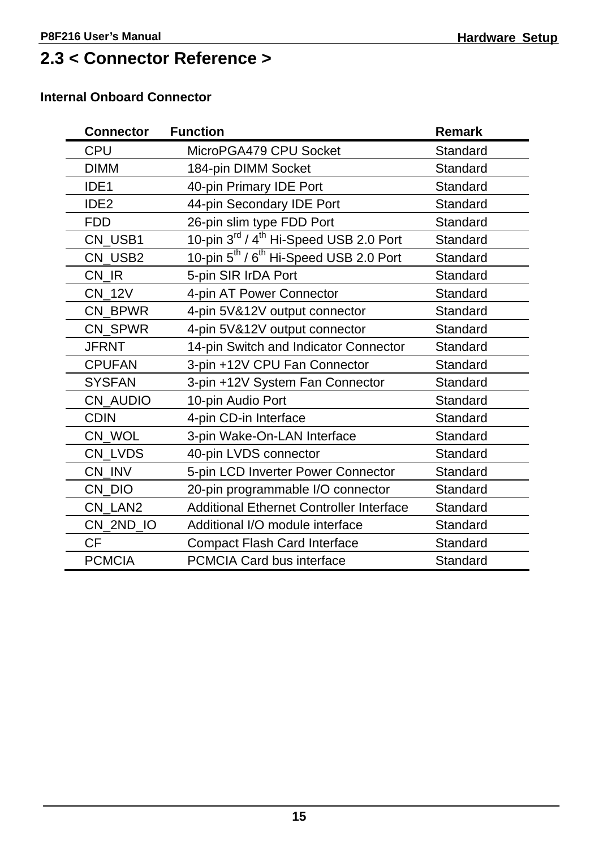# **2.3 < Connector Reference >**

#### **Internal Onboard Connector**

| <b>Connector</b> | <b>Function</b>                                                | Remark   |
|------------------|----------------------------------------------------------------|----------|
| CPU              | MicroPGA479 CPU Socket                                         | Standard |
| <b>DIMM</b>      | 184-pin DIMM Socket                                            | Standard |
| IDE1             | 40-pin Primary IDE Port                                        | Standard |
| IDE <sub>2</sub> | 44-pin Secondary IDE Port                                      | Standard |
| <b>FDD</b>       | 26-pin slim type FDD Port                                      | Standard |
| CN_USB1          | 10-pin 3 <sup>rd</sup> / 4 <sup>th</sup> Hi-Speed USB 2.0 Port | Standard |
| CN_USB2          | 10-pin 5 <sup>th</sup> / 6 <sup>th</sup> Hi-Speed USB 2.0 Port | Standard |
| CN_IR            | 5-pin SIR IrDA Port                                            | Standard |
| <b>CN_12V</b>    | 4-pin AT Power Connector                                       | Standard |
| CN_BPWR          | 4-pin 5V&12V output connector                                  | Standard |
| CN_SPWR          | 4-pin 5V&12V output connector                                  | Standard |
| <b>JFRNT</b>     | 14-pin Switch and Indicator Connector                          | Standard |
| <b>CPUFAN</b>    | 3-pin +12V CPU Fan Connector                                   | Standard |
| <b>SYSFAN</b>    | 3-pin +12V System Fan Connector                                | Standard |
| CN_AUDIO         | 10-pin Audio Port                                              | Standard |
| <b>CDIN</b>      | 4-pin CD-in Interface                                          | Standard |
| CN_WOL           | 3-pin Wake-On-LAN Interface                                    | Standard |
| CN_LVDS          | 40-pin LVDS connector                                          | Standard |
| CN_INV           | 5-pin LCD Inverter Power Connector                             | Standard |
| CN_DIO           | 20-pin programmable I/O connector                              | Standard |
| CN LAN2          | Additional Ethernet Controller Interface                       | Standard |
| CN_2ND_IO        | Additional I/O module interface                                | Standard |
| <b>CF</b>        | Compact Flash Card Interface                                   | Standard |
| <b>PCMCIA</b>    | <b>PCMCIA Card bus interface</b>                               | Standard |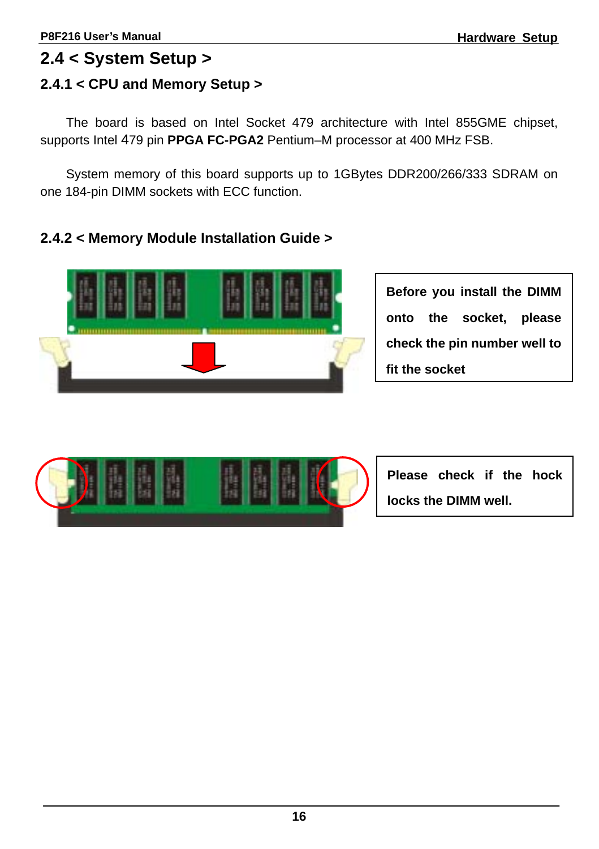# **2.4 < System Setup >**

**2.4.1 < CPU and Memory Setup >** 

The board is based on Intel Socket 479 architecture with Intel 855GME chipset, supports Intel 479 pin **PPGA FC-PGA2** Pentium–M processor at 400 MHz FSB.

System memory of this board supports up to 1GBytes DDR200/266/333 SDRAM on one 184-pin DIMM sockets with ECC function.

#### **2.4.2 < Memory Module Installation Guide >**



**Before you install the DIMM onto the socket, please check the pin number well to fit the socket**



**Please check if the hock locks the DIMM well.**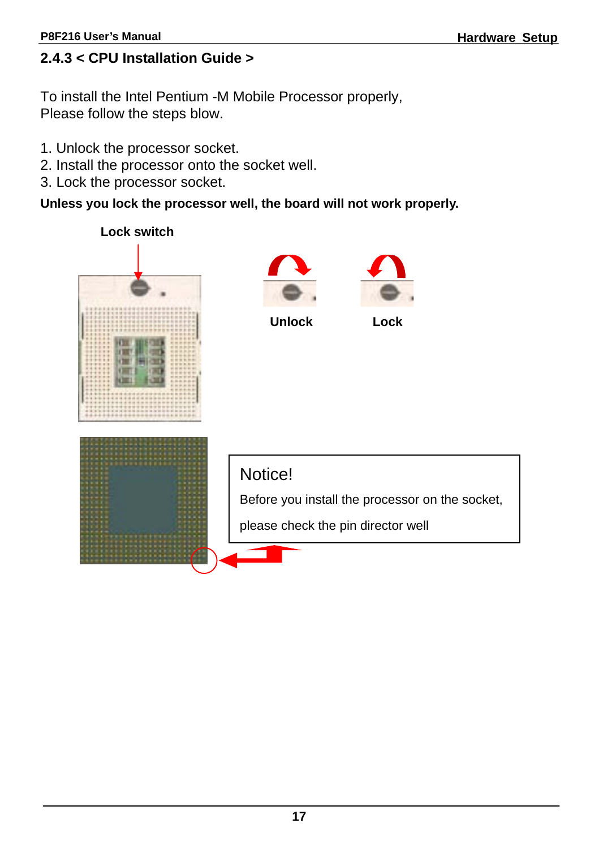### **2.4.3 < CPU Installation Guide >**

To install the Intel Pentium -M Mobile Processor properly, Please follow the steps blow.

- 1. Unlock the processor socket.
- 2. Install the processor onto the socket well.
- 3. Lock the processor socket.

#### **Unless you lock the processor well, the board will not work properly.**

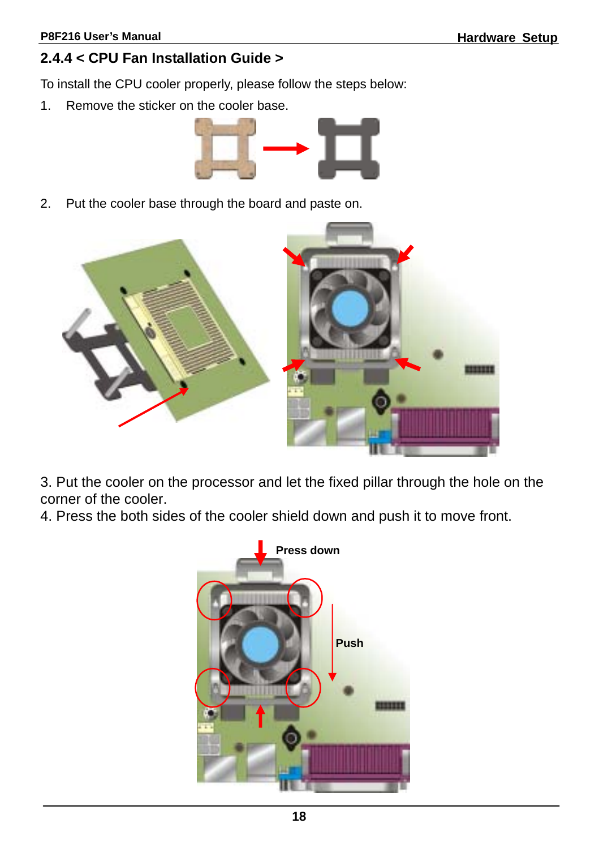### **2.4.4 < CPU Fan Installation Guide >**

To install the CPU cooler properly, please follow the steps below:

1. Remove the sticker on the cooler base.



2. Put the cooler base through the board and paste on.



3. Put the cooler on the processor and let the fixed pillar through the hole on the corner of the cooler.

4. Press the both sides of the cooler shield down and push it to move front.

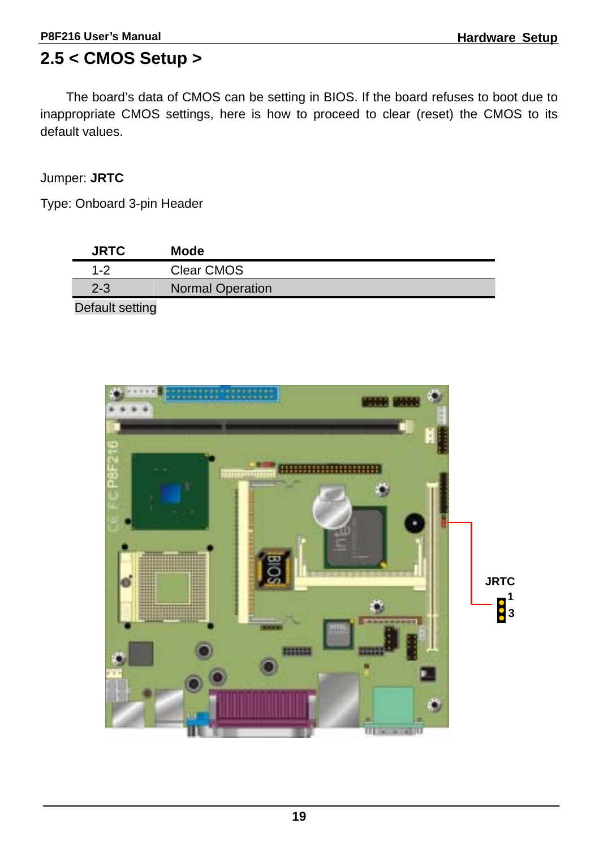# **2.5 < CMOS Setup >**

The board's data of CMOS can be setting in BIOS. If the board refuses to boot due to inappropriate CMOS settings, here is how to proceed to clear (reset) the CMOS to its default values.

Jumper: **JRTC** 

Type: Onboard 3-pin Header

| <b>JRTC</b>                   | Mode                    |
|-------------------------------|-------------------------|
| $1 - 2$                       | Clear CMOS              |
| $2 - 3$                       | <b>Normal Operation</b> |
| _ _ _<br>$\sim$ $\sim$ $\sim$ |                         |

Default setting

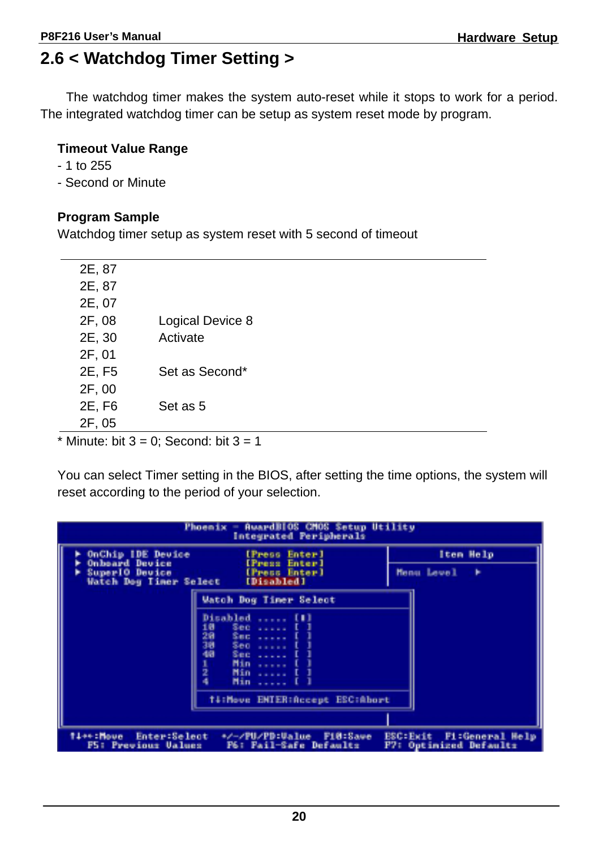# **2.6 < Watchdog Timer Setting >**

The watchdog timer makes the system auto-reset while it stops to work for a period. The integrated watchdog timer can be setup as system reset mode by program.

#### **Timeout Value Range**

- 1 to 255
- Second or Minute

#### **Program Sample**

Watchdog timer setup as system reset with 5 second of timeout

| 2E, 87             |                  |  |
|--------------------|------------------|--|
| 2E, 87             |                  |  |
| 2E, 07             |                  |  |
| 2F, 08             | Logical Device 8 |  |
| 2E, 30             | Activate         |  |
| 2F, 01             |                  |  |
| 2E, F <sub>5</sub> | Set as Second*   |  |
| 2F, 00             |                  |  |
| 2E, F6             | Set as 5         |  |
| 2F, 05             |                  |  |

 $*$  Minute: bit  $3 = 0$ : Second: bit  $3 = 1$ 

You can select Timer setting in the BIOS, after setting the time options, the system will reset according to the period of your selection.

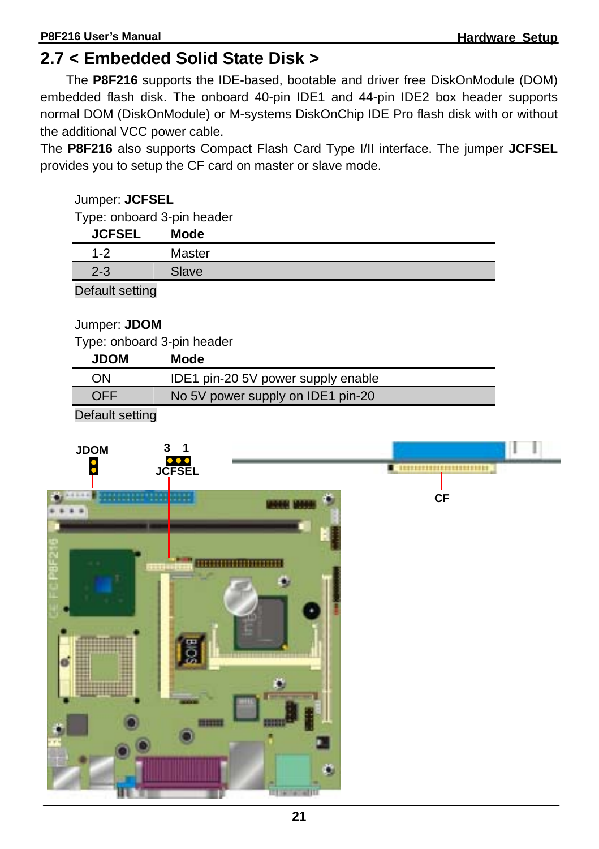## **2.7 < Embedded Solid State Disk >**

The **P8F216** supports the IDE-based, bootable and driver free DiskOnModule (DOM) embedded flash disk. The onboard 40-pin IDE1 and 44-pin IDE2 box header supports normal DOM (DiskOnModule) or M-systems DiskOnChip IDE Pro flash disk with or without the additional VCC power cable.

The **P8F216** also supports Compact Flash Card Type I/II interface. The jumper **JCFSEL** provides you to setup the CF card on master or slave mode.

#### Jumper: **JCFSEL**

Type: onboard 3-pin header

| <b>JCFSEL</b> | <b>Mode</b> |
|---------------|-------------|
| $1 - 2$       | Master      |
| $2 - 3$       | Slave       |
| _______       |             |

Default setting

#### Jumper: **JDOM**

Type: onboard 3-pin header

| <b>JDOM</b> | Mode                               |
|-------------|------------------------------------|
| OΝ          | IDE1 pin-20 5V power supply enable |
| OFF         | No 5V power supply on IDE1 pin-20  |
|             |                                    |

Default setting

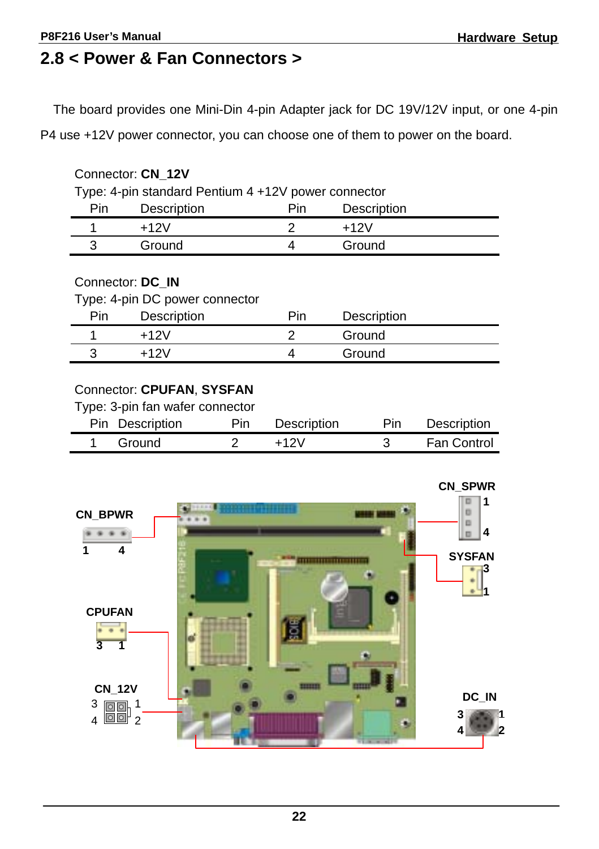# **2.8 < Power & Fan Connectors >**

The board provides one Mini-Din 4-pin Adapter jack for DC 19V/12V input, or one 4-pin

P4 use +12V power connector, you can choose one of them to power on the board.

|     | Connector: CN 12V                                   |     |             |
|-----|-----------------------------------------------------|-----|-------------|
|     | Type: 4-pin standard Pentium 4 +12V power connector |     |             |
| Pin | Description                                         | Pin | Description |
|     | $+12V$                                              | 2   | $+12V$      |
| з   | Ground                                              | Δ   | Ground      |
|     |                                                     |     |             |
|     | Connector: DC_IN                                    |     |             |
|     | Type: 4-pin DC power connector                      |     |             |
| Pin | Description                                         | Pin | Description |
|     | $+12V$                                              | 2   | Ground      |

3 +12V 4 Ground

#### Connector: **CPUFAN**, **SYSFAN**

Type: 3-pin fan wafer connector

| Pin Description | Pin | Description | Pin Description    |
|-----------------|-----|-------------|--------------------|
| <b>Ground</b>   |     | —⊥12V       | <b>Fan Control</b> |

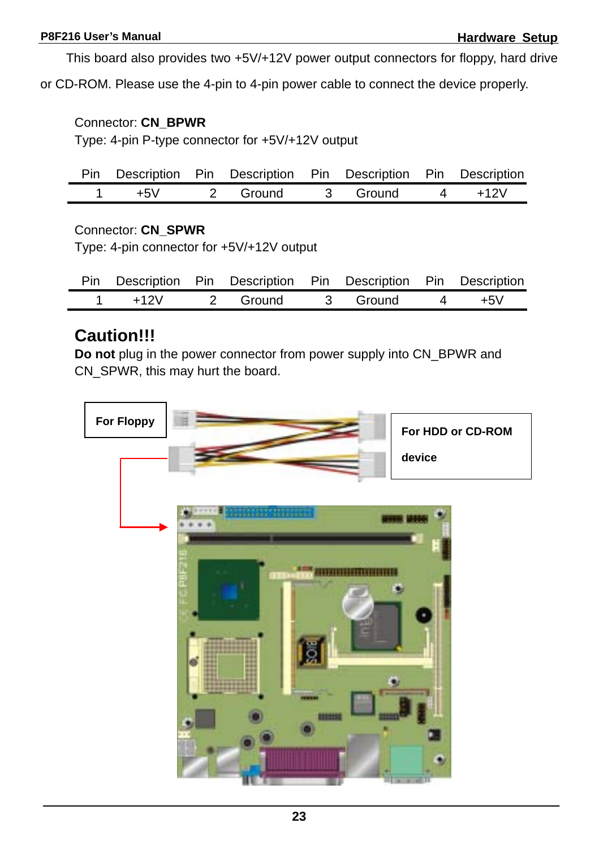This board also provides two +5V/+12V power output connectors for floppy, hard drive

or CD-ROM. Please use the 4-pin to 4-pin power cable to connect the device properly.

#### Connector: **CN\_BPWR**

Type: 4-pin P-type connector for +5V/+12V output

| Pin Description Pin Description Pin Description Pin Description |  |                          |  |
|-----------------------------------------------------------------|--|--------------------------|--|
| $+5V$                                                           |  | 2 Ground 3 Ground 4 +12V |  |

#### Connector: **CN\_SPWR**

Type: 4-pin connector for +5V/+12V output

| Pin Description Pin Description Pin Description Pin Description |                         |  |  |
|-----------------------------------------------------------------|-------------------------|--|--|
| $+12V$                                                          | 2 Ground 3 Ground 4 +5V |  |  |

### **Caution!!!**

**Do not** plug in the power connector from power supply into CN\_BPWR and CN SPWR, this may hurt the board.

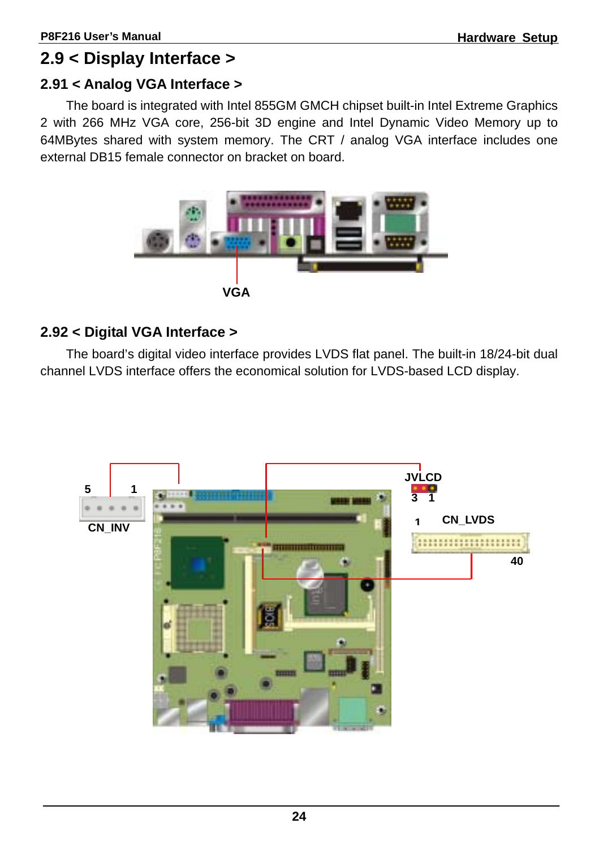# **2.9 < Display Interface >**

#### **2.91 < Analog VGA Interface >**

The board is integrated with Intel 855GM GMCH chipset built-in Intel Extreme Graphics 2 with 266 MHz VGA core, 256-bit 3D engine and Intel Dynamic Video Memory up to 64MBytes shared with system memory. The CRT / analog VGA interface includes one external DB15 female connector on bracket on board.



#### **2.92 < Digital VGA Interface >**

The board's digital video interface provides LVDS flat panel. The built-in 18/24-bit dual channel LVDS interface offers the economical solution for LVDS-based LCD display.

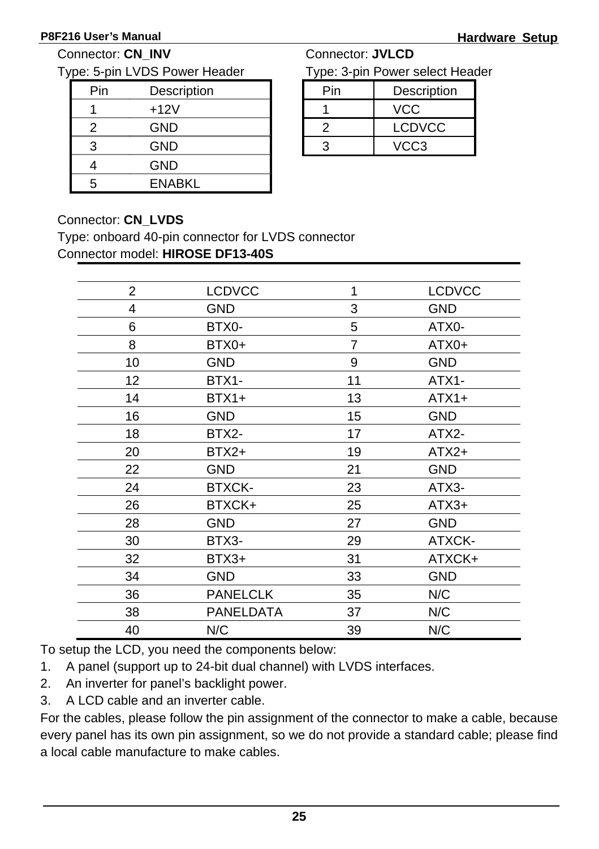#### **P8F216 User's Manual**

#### Connector: **CN\_INV** Connector: **JVLCD**

Type: 5-pin LVDS Power Header Type: 3-pin Power select Header

| Pin | Description   | Pin | Description      |
|-----|---------------|-----|------------------|
|     | $+12V$        |     | <b>VCC</b>       |
| 2   | <b>GND</b>    |     | <b>LCDVCC</b>    |
| 3   | GND           |     | VCC <sub>3</sub> |
|     | GND           |     |                  |
| 5   | <b>ENABKL</b> |     |                  |

#### Connector: **CN\_LVDS**

Type: onboard 40-pin connector for LVDS connector Connector model: **HIROSE DF13-40S**

| $\overline{2}$<br>1<br><b>LCDVCC</b><br><b>LCDVCC</b><br>3<br><b>GND</b><br>4<br><b>GND</b><br>BTX0-<br>5<br>6<br>ATX0-<br>$\overline{7}$<br>8<br>BTX0+<br>$ATX0+$<br>9<br>10<br><b>GND</b><br><b>GND</b><br>BTX1-<br>11<br>12<br>ATX1-<br>14<br>$BTX1+$<br>13<br>$ATX1+$<br>16<br><b>GND</b><br>15<br><b>GND</b><br>18<br>BTX2-<br>17<br>ATX2-<br>20<br>$BTX2+$<br>19<br>$ATX2+$<br>22<br><b>GND</b><br>21<br><b>GND</b><br>BTXCK-<br>ATX3-<br>24<br>23<br>BTXCK+<br>26<br>25<br>$ATX3+$<br>28<br><b>GND</b><br><b>GND</b><br>27<br>ATXCK-<br>BTX3-<br>30<br>29<br>ATXCK+<br>BTX3+<br>32<br>31<br>34<br><b>GND</b><br>33<br><b>GND</b><br><b>PANELCLK</b><br>N/C<br>36<br>35<br><b>PANELDATA</b><br>N/C<br>38<br>37 |    |     |    |     |  |
|----------------------------------------------------------------------------------------------------------------------------------------------------------------------------------------------------------------------------------------------------------------------------------------------------------------------------------------------------------------------------------------------------------------------------------------------------------------------------------------------------------------------------------------------------------------------------------------------------------------------------------------------------------------------------------------------------------------------|----|-----|----|-----|--|
|                                                                                                                                                                                                                                                                                                                                                                                                                                                                                                                                                                                                                                                                                                                      |    |     |    |     |  |
|                                                                                                                                                                                                                                                                                                                                                                                                                                                                                                                                                                                                                                                                                                                      |    |     |    |     |  |
|                                                                                                                                                                                                                                                                                                                                                                                                                                                                                                                                                                                                                                                                                                                      |    |     |    |     |  |
|                                                                                                                                                                                                                                                                                                                                                                                                                                                                                                                                                                                                                                                                                                                      |    |     |    |     |  |
|                                                                                                                                                                                                                                                                                                                                                                                                                                                                                                                                                                                                                                                                                                                      |    |     |    |     |  |
|                                                                                                                                                                                                                                                                                                                                                                                                                                                                                                                                                                                                                                                                                                                      |    |     |    |     |  |
|                                                                                                                                                                                                                                                                                                                                                                                                                                                                                                                                                                                                                                                                                                                      |    |     |    |     |  |
|                                                                                                                                                                                                                                                                                                                                                                                                                                                                                                                                                                                                                                                                                                                      |    |     |    |     |  |
|                                                                                                                                                                                                                                                                                                                                                                                                                                                                                                                                                                                                                                                                                                                      |    |     |    |     |  |
|                                                                                                                                                                                                                                                                                                                                                                                                                                                                                                                                                                                                                                                                                                                      |    |     |    |     |  |
|                                                                                                                                                                                                                                                                                                                                                                                                                                                                                                                                                                                                                                                                                                                      |    |     |    |     |  |
|                                                                                                                                                                                                                                                                                                                                                                                                                                                                                                                                                                                                                                                                                                                      |    |     |    |     |  |
|                                                                                                                                                                                                                                                                                                                                                                                                                                                                                                                                                                                                                                                                                                                      |    |     |    |     |  |
|                                                                                                                                                                                                                                                                                                                                                                                                                                                                                                                                                                                                                                                                                                                      |    |     |    |     |  |
|                                                                                                                                                                                                                                                                                                                                                                                                                                                                                                                                                                                                                                                                                                                      |    |     |    |     |  |
|                                                                                                                                                                                                                                                                                                                                                                                                                                                                                                                                                                                                                                                                                                                      |    |     |    |     |  |
|                                                                                                                                                                                                                                                                                                                                                                                                                                                                                                                                                                                                                                                                                                                      |    |     |    |     |  |
|                                                                                                                                                                                                                                                                                                                                                                                                                                                                                                                                                                                                                                                                                                                      |    |     |    |     |  |
|                                                                                                                                                                                                                                                                                                                                                                                                                                                                                                                                                                                                                                                                                                                      |    |     |    |     |  |
|                                                                                                                                                                                                                                                                                                                                                                                                                                                                                                                                                                                                                                                                                                                      | 40 | N/C | 39 | N/C |  |

To setup the LCD, you need the components below:

1. A panel (support up to 24-bit dual channel) with LVDS interfaces.

- 2. An inverter for panel's backlight power.
- 3. A LCD cable and an inverter cable.

For the cables, please follow the pin assignment of the connector to make a cable, because every panel has its own pin assignment, so we do not provide a standard cable; please find a local cable manufacture to make cables.

#### **Hardware Setup**

| Pin | Description |  |
|-----|-------------|--|
|     | VCC         |  |
| 2   | LCDVCC      |  |
| 2   | VCC3        |  |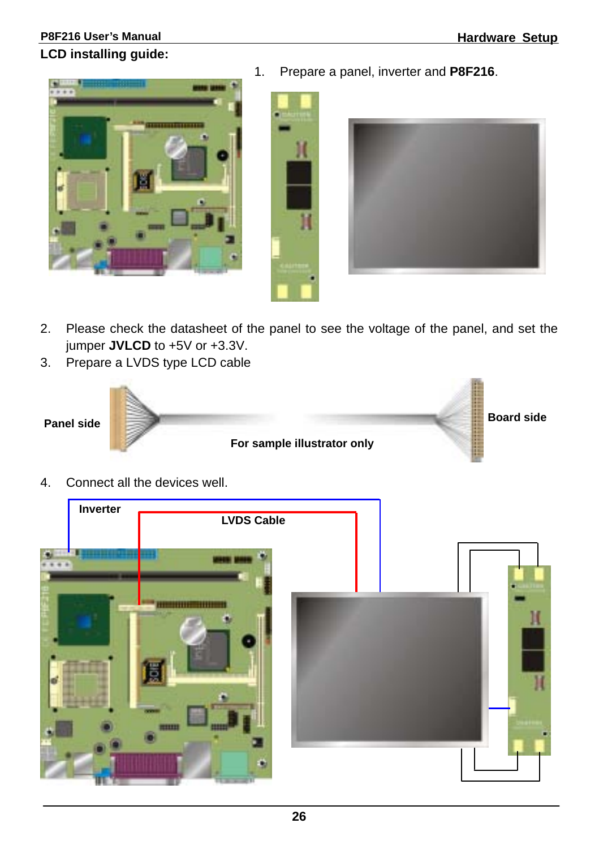#### **P8F216 User's Manual LCD installing guide:**



1. Prepare a panel, inverter and **P8F216**.





- 2. Please check the datasheet of the panel to see the voltage of the panel, and set the jumper **JVLCD** to +5V or +3.3V.
- 3. Prepare a LVDS type LCD cable



4. Connect all the devices well.

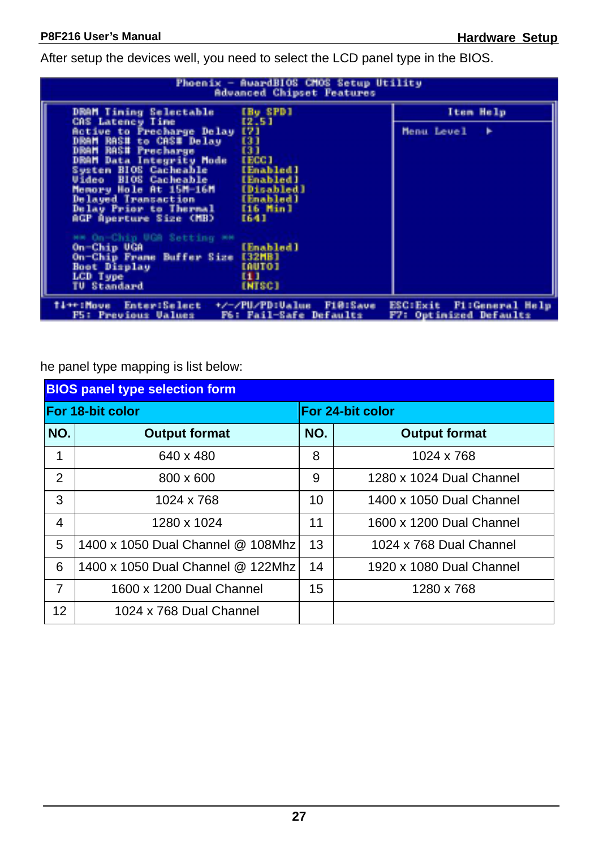#### **P8F216 User's Manual**

After setup the devices well, you need to select the LCD panel type in the BIOS.

| Phoenix - AwardBIOS CMOS Setup Utility<br><b>Advanced Chipset Features</b>                                                                                                                                                                                                                                                                                                                                                                                                                                                                                                                                                        |                                                    |  |  |  |  |  |  |
|-----------------------------------------------------------------------------------------------------------------------------------------------------------------------------------------------------------------------------------------------------------------------------------------------------------------------------------------------------------------------------------------------------------------------------------------------------------------------------------------------------------------------------------------------------------------------------------------------------------------------------------|----------------------------------------------------|--|--|--|--|--|--|
| DRAM Tining Selectable<br><b>IBu SPD1</b>                                                                                                                                                                                                                                                                                                                                                                                                                                                                                                                                                                                         | Item Help                                          |  |  |  |  |  |  |
| 12.51<br><b>CAS Latency Time</b><br>171<br>Active to Precharge Delay<br>$^{131}$<br>DRAM RAS# to CAS# Delay<br>131<br><b>DRAM RASH Precharge</b><br><b>TECC1</b><br>DRAM Data Integrity Mode<br>[Enabled]<br>System BIOS Cacheable<br><b>Wideo BIOS Cacheable</b><br>[Enabled]<br>Memory Hole At 15M-16M<br>[Disabled]<br>[Enabled]<br>Delayed Iransaction<br><b>I16 Min1</b><br>Delay Prior to Thermal<br>1641<br>AGP Aperture Size (MB)<br>** On-Chip UGA Setting **<br>[Enabled]<br>On-Chip UGA<br>On-Chip Frame Buffer Size [32MB]<br><b>LAUTO1</b><br><b>Boot Display</b><br>LCD Type<br>U 1<br><b>INTSC1</b><br>TV Standard | Henu Level                                         |  |  |  |  |  |  |
| +/-/PU/PD:Ualus F10:Save<br>†i→+:Move Enter:Select<br>F5: Previous Ualues<br>F6: Pail-Safe Defaults                                                                                                                                                                                                                                                                                                                                                                                                                                                                                                                               | ESCIExit FilGeneral Help<br>F7: Optimized Defaults |  |  |  |  |  |  |

he panel type mapping is list below:

| <b>BIOS panel type selection form</b> |                                   |                  |                          |  |
|---------------------------------------|-----------------------------------|------------------|--------------------------|--|
|                                       | <b>For 18-bit color</b>           | For 24-bit color |                          |  |
| NO.                                   | <b>Output format</b>              | NO.              | <b>Output format</b>     |  |
| 1                                     | 640 x 480                         | 8                | 1024 x 768               |  |
| 2                                     | 800 x 600                         | 9                | 1280 x 1024 Dual Channel |  |
| 3                                     | 1024 x 768                        | 10               | 1400 x 1050 Dual Channel |  |
| 4                                     | 1280 x 1024                       | 11               | 1600 x 1200 Dual Channel |  |
| 5                                     | 1400 x 1050 Dual Channel @ 108Mhz | 13               | 1024 x 768 Dual Channel  |  |
| 6                                     | 1400 x 1050 Dual Channel @ 122Mhz | 14               | 1920 x 1080 Dual Channel |  |
| 7                                     | 1600 x 1200 Dual Channel          | 15               | 1280 x 768               |  |
| 12                                    | 1024 x 768 Dual Channel           |                  |                          |  |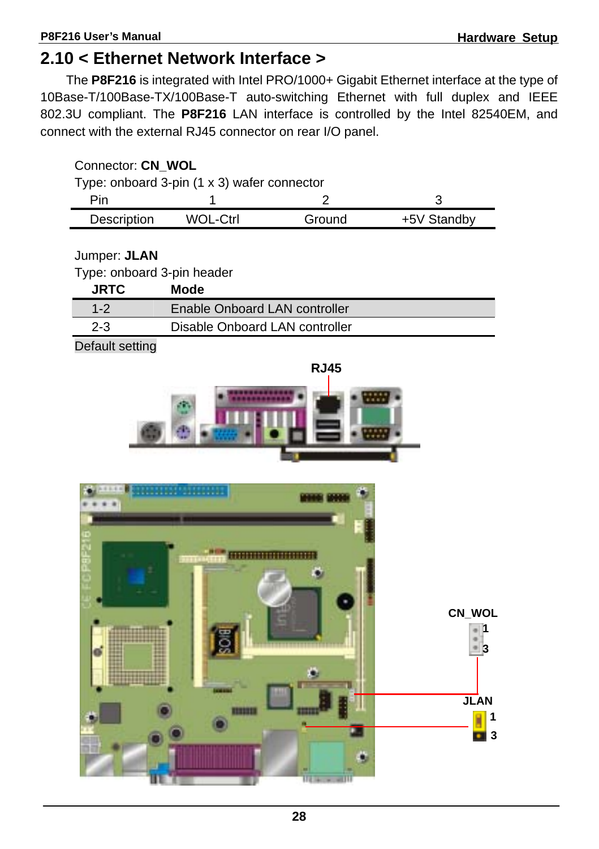### **2.10 < Ethernet Network Interface >**

The **P8F216** is integrated with Intel PRO/1000+ Gigabit Ethernet interface at the type of 10Base-T/100Base-TX/100Base-T auto-switching Ethernet with full duplex and IEEE 802.3U compliant. The **P8F216** LAN interface is controlled by the Intel 82540EM, and connect with the external RJ45 connector on rear I/O panel.

#### Connector: **CN\_WOL**

|  | Type: onboard 3-pin (1 x 3) wafer connector |  |
|--|---------------------------------------------|--|
|--|---------------------------------------------|--|

| Pin         |                 |        |             |
|-------------|-----------------|--------|-------------|
| Description | <b>WOL-Ctrl</b> | Ground | +5V Standby |

Jumper: **JLAN**

Type: onboard 3-pin header

| <b>JRTC</b> | Mode                           |  |
|-------------|--------------------------------|--|
| $1 - 2$     | Enable Onboard LAN controller  |  |
| $2 - 3$     | Disable Onboard LAN controller |  |

Default setting



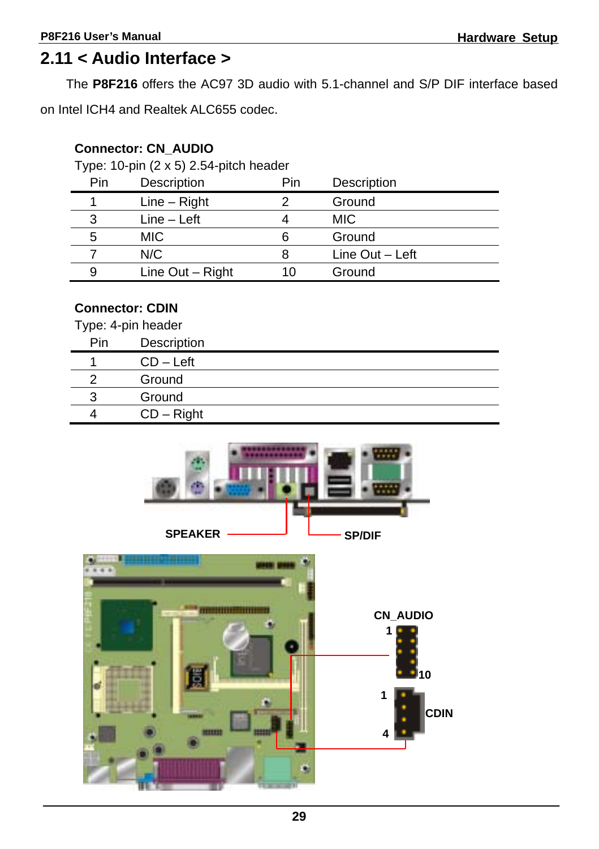### **2.11 < Audio Interface >**

The **P8F216** offers the AC97 3D audio with 5.1-channel and S/P DIF interface based on Intel ICH4 and Realtek ALC655 codec.

#### **Connector: CN\_AUDIO**

Type: 10-pin (2 x 5) 2.54-pitch header

| Pin | Description      | Pin | Description       |
|-----|------------------|-----|-------------------|
|     | $Line - Right$   |     | Ground            |
| 3   | $Line - Left$    |     | MIC.              |
| 5   | <b>MIC</b>       |     | Ground            |
|     | N/C              |     | Line Out $-$ Left |
|     | Line Out - Right | 10  | Ground            |

#### **Connector: CDIN**

| Type: 4-pin header |  |  |
|--------------------|--|--|
|--------------------|--|--|

| Pin | Description  |
|-----|--------------|
|     | $CD - Left$  |
|     | Ground       |
|     | Ground       |
|     | $CD - Right$ |

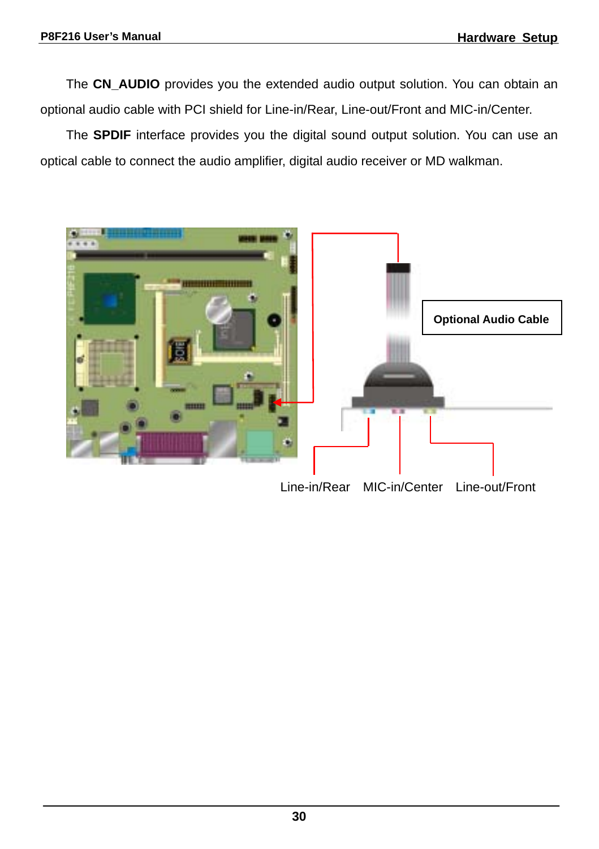The **CN\_AUDIO** provides you the extended audio output solution. You can obtain an optional audio cable with PCI shield for Line-in/Rear, Line-out/Front and MIC-in/Center.

The **SPDIF** interface provides you the digital sound output solution. You can use an optical cable to connect the audio amplifier, digital audio receiver or MD walkman.



Line-in/Rear MIC-in/Center Line-out/Front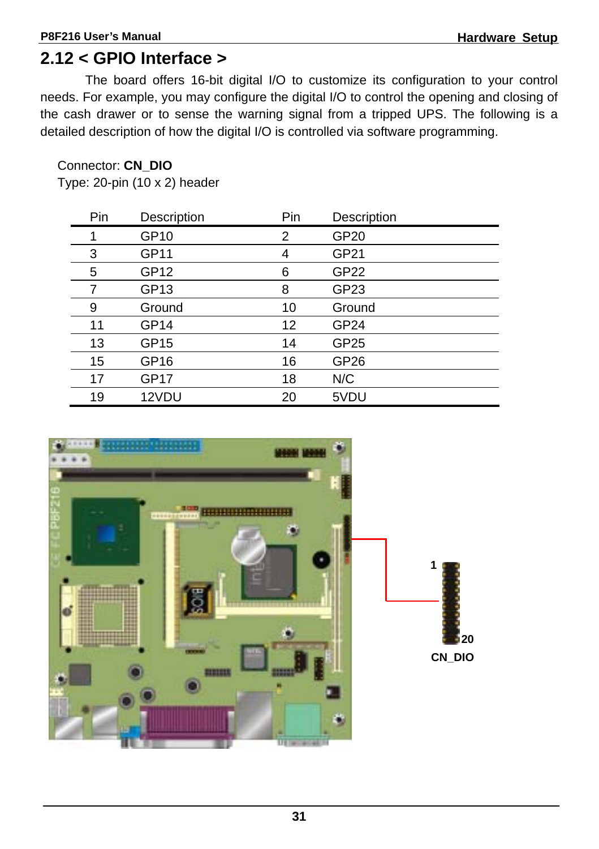### **2.12 < GPIO Interface >**

 The board offers 16-bit digital I/O to customize its configuration to your control needs. For example, you may configure the digital I/O to control the opening and closing of the cash drawer or to sense the warning signal from a tripped UPS. The following is a detailed description of how the digital I/O is controlled via software programming.

#### Connector: **CN\_DIO**

Type: 20-pin (10 x 2) header

| Pin | Description      | Pin | Description      |
|-----|------------------|-----|------------------|
|     | GP10             | 2   | GP20             |
| 3   | GP11             | 4   | GP21             |
| 5   | GP12             | 6   | GP22             |
|     | GP <sub>13</sub> | 8   | GP23             |
| 9   | Ground           | 10  | Ground           |
| 11  | GP <sub>14</sub> | 12  | GP <sub>24</sub> |
| 13  | GP15             | 14  | GP25             |
| 15  | GP <sub>16</sub> | 16  | GP <sub>26</sub> |
| 17  | GP17             | 18  | N/C              |
| 19  | 12VDU            | 20  | 5VDU             |
|     |                  |     |                  |

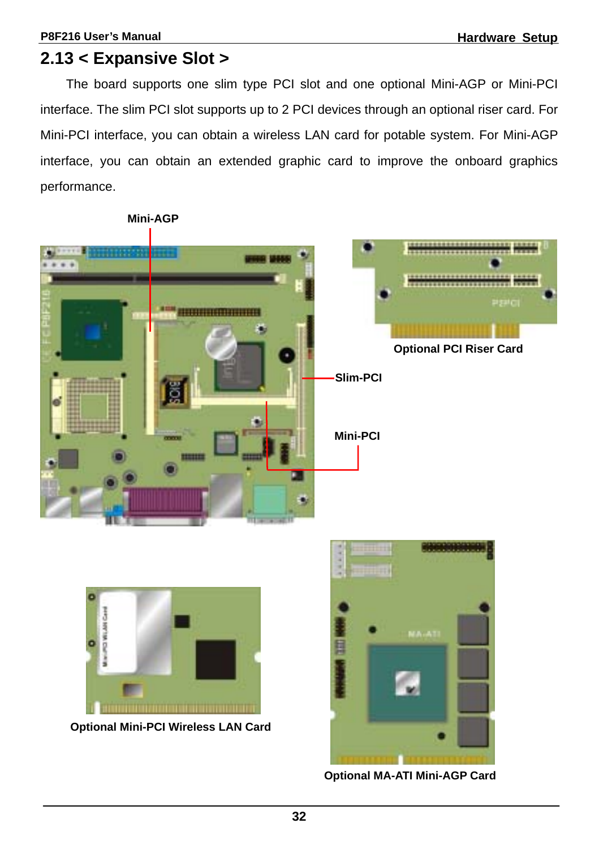### **2.13 < Expansive Slot >**

 The board supports one slim type PCI slot and one optional Mini-AGP or Mini-PCI interface. The slim PCI slot supports up to 2 PCI devices through an optional riser card. For Mini-PCI interface, you can obtain a wireless LAN card for potable system. For Mini-AGP interface, you can obtain an extended graphic card to improve the onboard graphics performance.



**Mini-AGP**



**Optional Mini-PCI Wireless LAN Card**



**Optional MA-ATI Mini-AGP Card**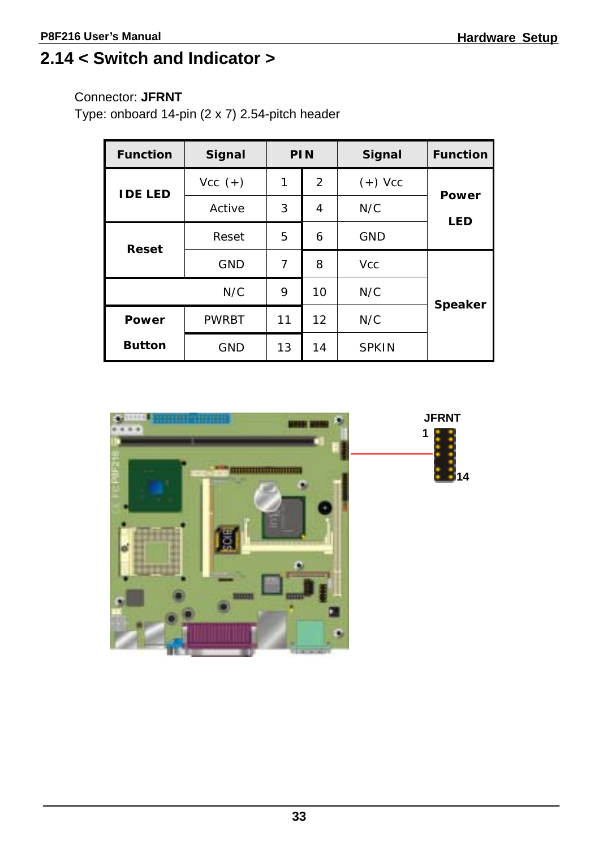# **2.14 < Switch and Indicator >**

### Connector: **JFRNT**

Type: onboard 14-pin (2 x 7) 2.54-pitch header

| <b>Function</b> | Signal       | PIN            |    | Signal       | <b>Function</b>     |
|-----------------|--------------|----------------|----|--------------|---------------------|
| <b>IDE LED</b>  | $Vcc (+)$    | 1              | 2  | $(+)$ Vcc    |                     |
|                 | Active       | 3              | 4  | N/C          | Power<br><b>LED</b> |
| Reset           | Reset        | 5              | 6  | <b>GND</b>   |                     |
|                 | <b>GND</b>   | $\overline{7}$ | 8  | <b>Vcc</b>   |                     |
|                 | N/C          | 9              | 10 | N/C          |                     |
| Power           | <b>PWRBT</b> | 11             | 12 | N/C          | <b>Speaker</b>      |
| <b>Button</b>   | <b>GND</b>   | 13             | 14 | <b>SPKIN</b> |                     |

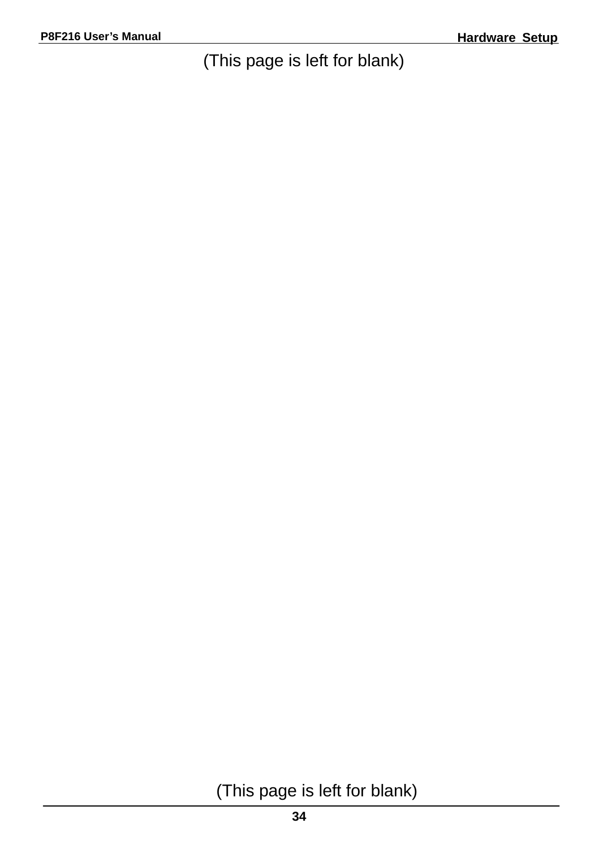# (This page is left for blank)

(This page is left for blank)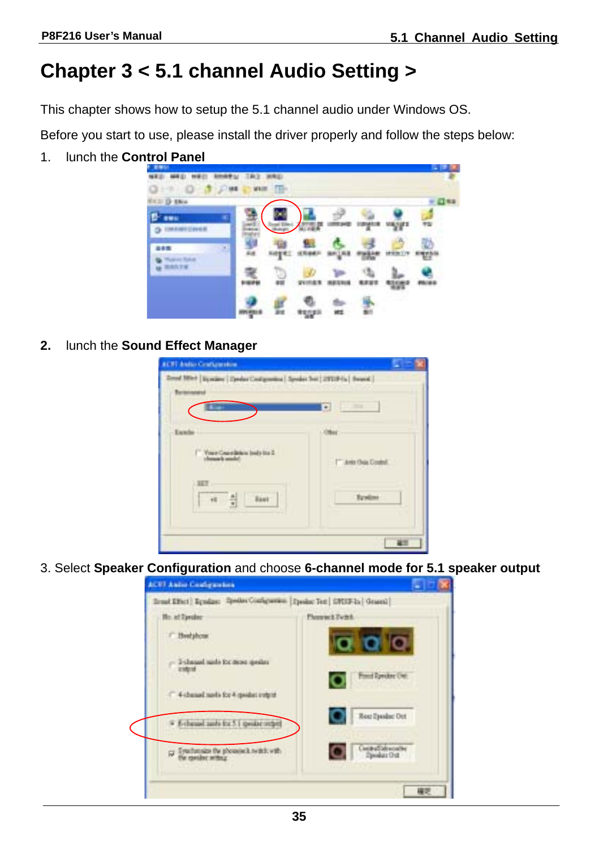# **Chapter 3 < 5.1 channel Audio Setting >**

This chapter shows how to setup the 5.1 channel audio under Windows OS.

Before you start to use, please install the driver properly and follow the steps below:

1. lunch the **Control Panel**



**2.** lunch the **Sound Effect Manager** 

| <b>ACRI Audio Configuration</b>                                                                                                                                                                                                                                                                                                                                                                                                                     | л                           |
|-----------------------------------------------------------------------------------------------------------------------------------------------------------------------------------------------------------------------------------------------------------------------------------------------------------------------------------------------------------------------------------------------------------------------------------------------------|-----------------------------|
| red Start   System   Deduction guarter   System but   2920-16   Sweet                                                                                                                                                                                                                                                                                                                                                                               |                             |
|                                                                                                                                                                                                                                                                                                                                                                                                                                                     |                             |
|                                                                                                                                                                                                                                                                                                                                                                                                                                                     | <b>College College</b><br>٠ |
| Eustu                                                                                                                                                                                                                                                                                                                                                                                                                                               | <b>Office</b>               |
| $\begin{tabular}{ c c c c } \hline \multicolumn{3}{ c }{\textbf{Vone-Cos}} & \multicolumn{3}{ c }{\textbf{Done-to-2}}\\ \hline \multicolumn{3}{ c }{\textbf{Pone-to-2}} & \multicolumn{3}{ c }{\textbf{Done-to-2}}\\ \hline \multicolumn{3}{ c }{\textbf{Done-to-2}} & \multicolumn{3}{ c }{\textbf{Done-to-2}}\\ \hline \multicolumn{3}{ c }{\textbf{Done-to-2}} & \multicolumn{3}{ c }{\textbf{Done-to-2}}\\ \hline \multicolumn{3}{ c }{\textbf$ |                             |
|                                                                                                                                                                                                                                                                                                                                                                                                                                                     | T. Anto Oula Coutof.        |
| 1,367                                                                                                                                                                                                                                                                                                                                                                                                                                               |                             |
| <b>Bant</b><br>$+1$ $-\frac{1}{4}$                                                                                                                                                                                                                                                                                                                                                                                                                  | Typics                      |
|                                                                                                                                                                                                                                                                                                                                                                                                                                                     |                             |
|                                                                                                                                                                                                                                                                                                                                                                                                                                                     |                             |
|                                                                                                                                                                                                                                                                                                                                                                                                                                                     |                             |

3. Select **Speaker Configuration** and choose **6-channel mode for 5.1 speaker output** 

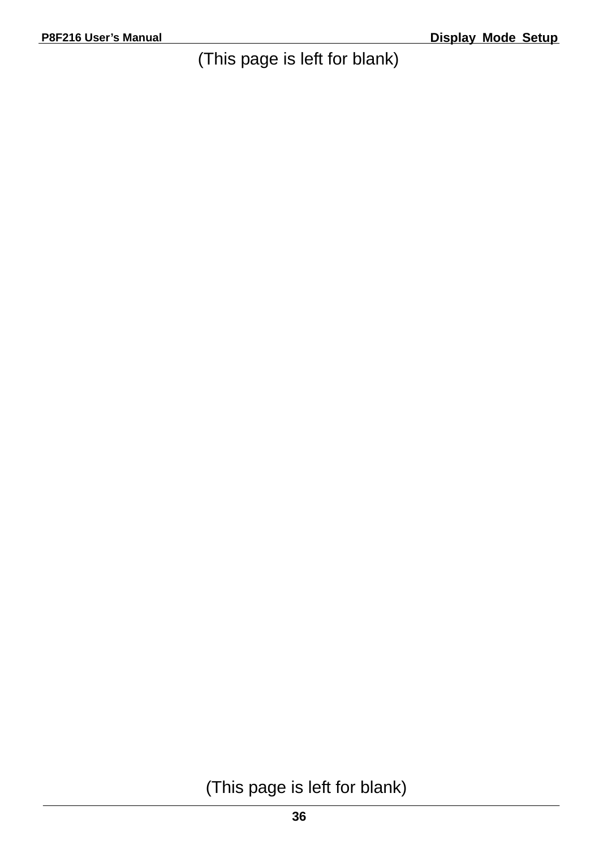# (This page is left for blank)

(This page is left for blank)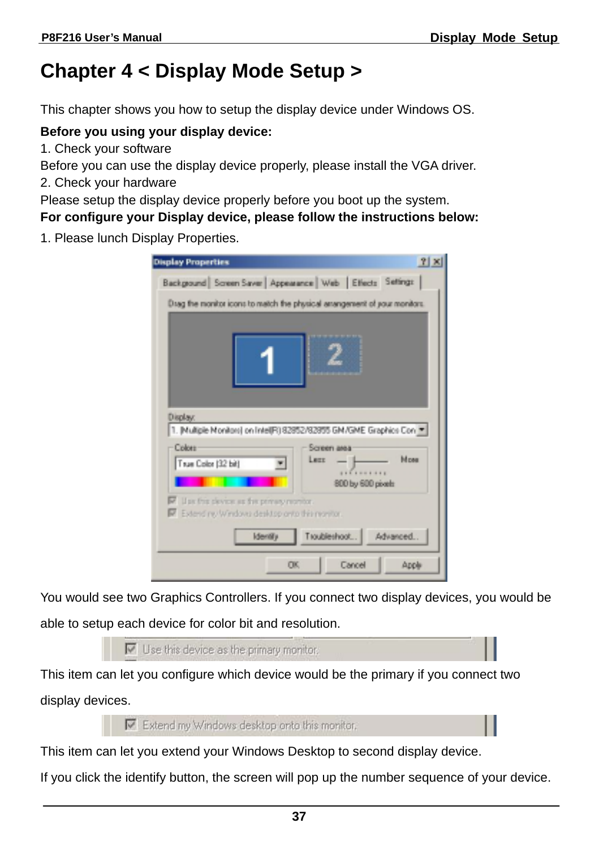# **Chapter 4 < Display Mode Setup >**

This chapter shows you how to setup the display device under Windows OS.

#### **Before you using your display device:**

1. Check your software

Before you can use the display device properly, please install the VGA driver.

2. Check your hardware

Please setup the display device properly before you boot up the system.

#### **For configure your Display device, please follow the instructions below:**

1. Please lunch Display Properties.

| <b>Display Properties</b><br>71 <sub>x</sub>                                                 |  |  |  |
|----------------------------------------------------------------------------------------------|--|--|--|
| Background Screen Saver Appearance Web Elfects Settings                                      |  |  |  |
| Drag the monitor icons to match the physical anangement of your monitors.                    |  |  |  |
|                                                                                              |  |  |  |
| Display:                                                                                     |  |  |  |
| 1. Multiple Monitors) on IntellP() 82852/82855 GM/GME Graphics Con<br>Colore<br>Screen area  |  |  |  |
| Moss<br>Lezz<br>True Color (32 bit)                                                          |  |  |  |
| .<br>800 by 600 pixels                                                                       |  |  |  |
| R. Has the device as the primacy recruits.<br>E Extending Windows desktop anto this monitor. |  |  |  |
| Advanced<br>Troubleshoot<br>Identify                                                         |  |  |  |
| Cancel<br>OK.<br>Apple                                                                       |  |  |  |

You would see two Graphics Controllers. If you connect two display devices, you would be able to setup each device for color bit and resolution.

 $\blacktriangleright$  Use this device as the primary monitor.

This item can let you configure which device would be the primary if you connect two display devices.

Extend my Windows desktop onto this monitor.

This item can let you extend your Windows Desktop to second display device.

If you click the identify button, the screen will pop up the number sequence of your device.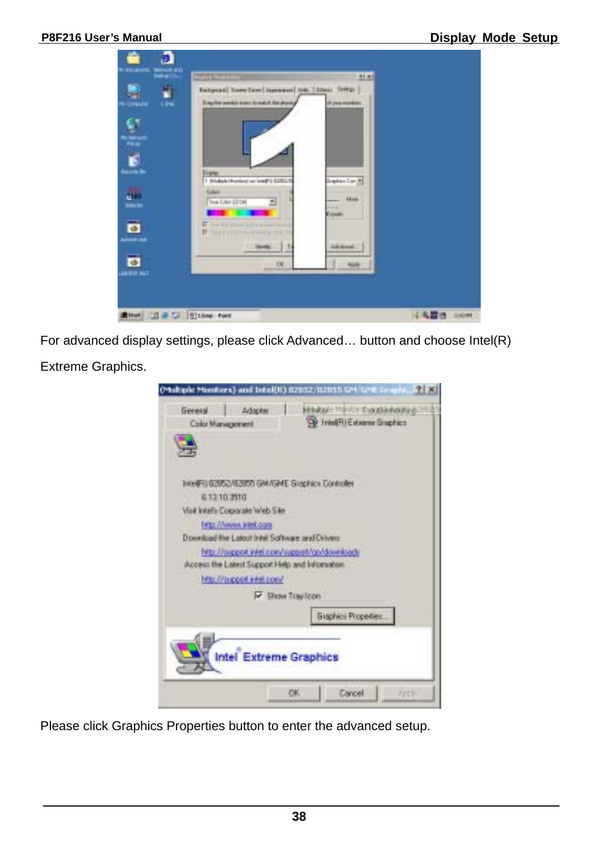| ۵<br><b>BAR KO</b><br><br>w | 加料<br><b>Contactor</b>                                                                                                |                      |
|-----------------------------|-----------------------------------------------------------------------------------------------------------------------|----------------------|
| Ciricular<br><b>Cinc</b>    | Badgmadi Scott Care   Jonanove   New   State 1940  <br>Dougline pointing some for match the player<br>of your monkets |                      |
| $\frac{1}{2}$               |                                                                                                                       |                      |
| É                           |                                                                                                                       |                      |
| <b>Augusts</b><br>鶝         | <b>Top Age</b><br><b>Implex Card</b><br>1.94 Auto Museum or lead 12 NASA<br>Hm<br>Total Color (STOR)<br>츼             |                      |
| <b>Delu bit</b><br>в        | 1314<br>-<br><b>Contract Contract</b>                                                                                 |                      |
| ---<br>क                    | <b>Adversed</b>                                                                                                       |                      |
| <b>JAWEAC</b>               | <b>OK</b><br><b>Hall</b>                                                                                              |                      |
| Blief (2) # 51 8010ec-Fair  |                                                                                                                       | にも置き<br><b>SALME</b> |

For advanced display settings, please click Advanced… button and choose Intel(R) Extreme Graphics.

> (Multiple Monitors) and Intel(R) 82852, 82855 (24)  $2|x|$ General: Adapter -Mikabole 1h Ericer Conditional DiscOS **OF IntelFILE atserve Graphics** Color Management IntelPit@2852/82855 GM/GME Graphics Controller 61310.7510 Visit Intells Corporate Web Site **bttp://www.intel.com** Download the Latest Intel Software and Drivers http://support.intel.com/support/go/downloads Access the Latest Support Help and Information Max //support interferom/ **P** Show Trayloon **Graphici Properties Intel** Extreme Graphics OK: Cancel

Please click Graphics Properties button to enter the advanced setup.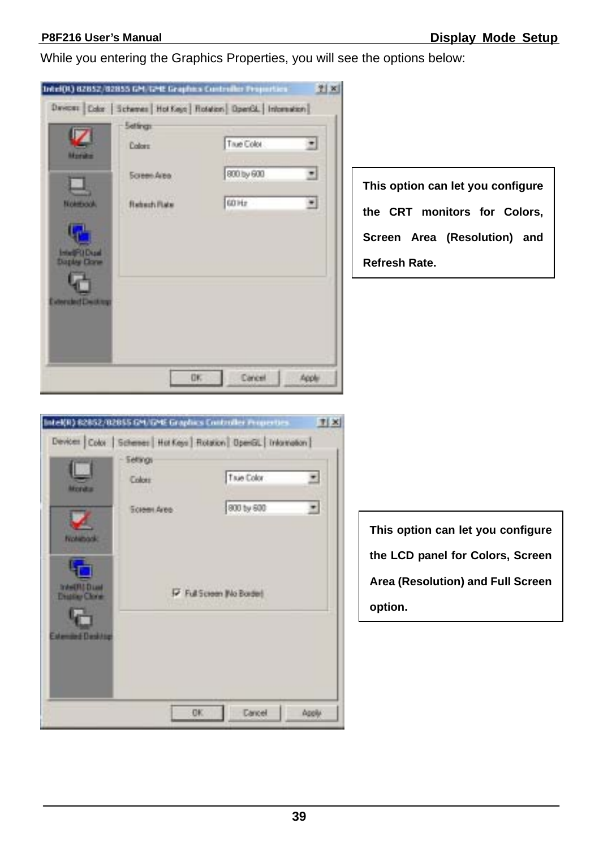While you entering the Graphics Properties, you will see the options below:

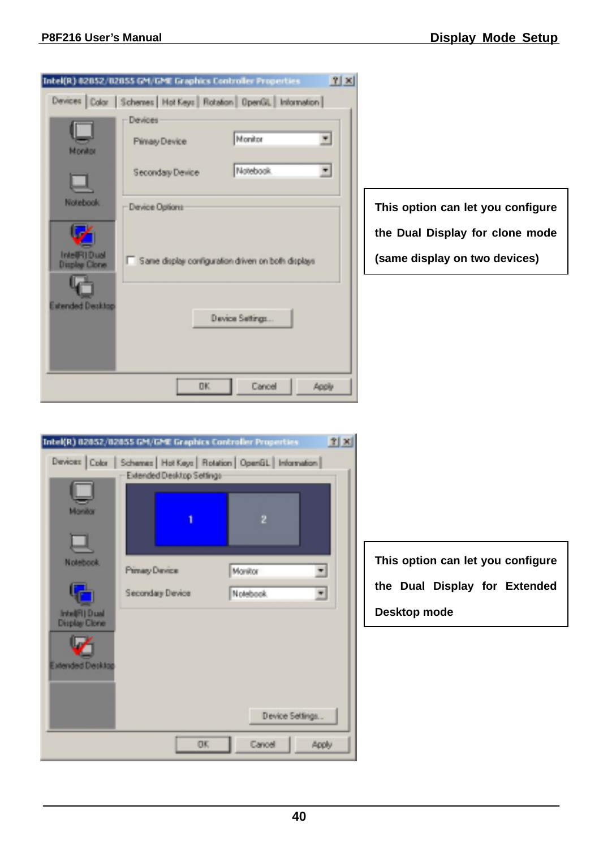

| Notebook.                              | Pimary Davice    | Manitor         |       |
|----------------------------------------|------------------|-----------------|-------|
|                                        | Secondary Device | Notebook.       |       |
| Intellit) Dual<br><b>Display Clone</b> |                  |                 |       |
| Extended Decktop                       |                  |                 |       |
|                                        |                  |                 |       |
|                                        |                  | Device Settings |       |
|                                        | OK.              | Cancel          | Apply |

| This option can let you configure |              |  |  |                               |  |  |
|-----------------------------------|--------------|--|--|-------------------------------|--|--|
|                                   |              |  |  | the Dual Display for Extended |  |  |
|                                   | Desktop mode |  |  |                               |  |  |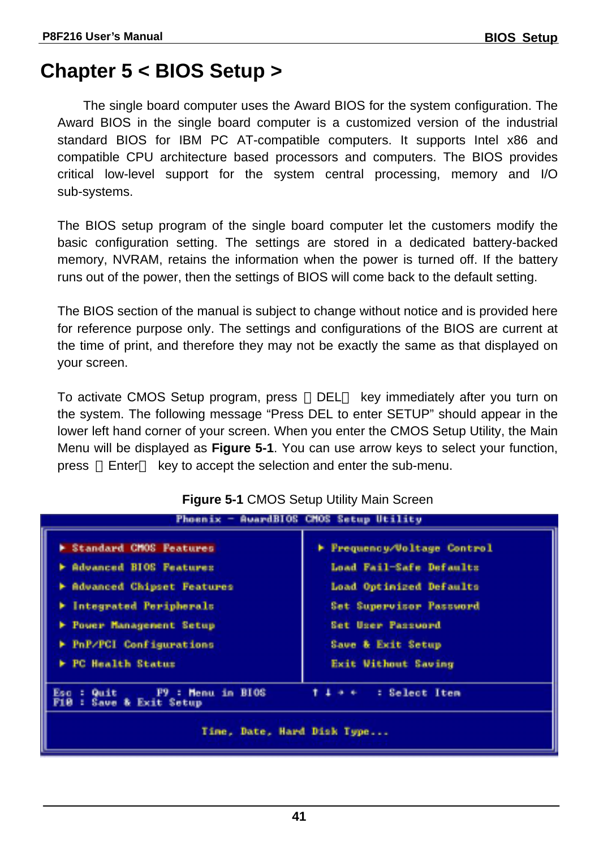# **Chapter 5 < BIOS Setup >**

The single board computer uses the Award BIOS for the system configuration. The Award BIOS in the single board computer is a customized version of the industrial standard BIOS for IBM PC AT-compatible computers. It supports Intel x86 and compatible CPU architecture based processors and computers. The BIOS provides critical low-level support for the system central processing, memory and I/O sub-systems.

The BIOS setup program of the single board computer let the customers modify the basic configuration setting. The settings are stored in a dedicated battery-backed memory, NVRAM, retains the information when the power is turned off. If the battery runs out of the power, then the settings of BIOS will come back to the default setting.

The BIOS section of the manual is subject to change without notice and is provided here for reference purpose only. The settings and configurations of the BIOS are current at the time of print, and therefore they may not be exactly the same as that displayed on your screen.

To activate CMOS Setup program, press DEL key immediately after you turn on the system. The following message "Press DEL to enter SETUP" should appear in the lower left hand corner of your screen. When you enter the CMOS Setup Utility, the Main Menu will be displayed as **Figure 5-1**. You can use arrow keys to select your function, press Enter key to accept the selection and enter the sub-menu.

| F Standard CMOS Features                                | Prequency/Voltage Control  |
|---------------------------------------------------------|----------------------------|
| h Advanced BIOS Features                                | Load Fail-Safe Defaults    |
| <b>F</b> Advanced Chipset Features                      | Load Optimized Defaults    |
| <b>E</b> Integrated Peripherals                         | Set Supervisor Password    |
| F Power Management Setup                                | <b>Set User Password</b>   |
| PnP/PCI Configurations                                  | Save & Exit Setup          |
| F PC Health Status                                      | <b>Exit Without Saving</b> |
| Esc : Quit P9 : Menu in BIOS<br>F10 : Save & Exit Setup | 1.4.4<br>: Select Item     |
|                                                         | Time, Date, Hard Disk Type |

#### **Figure 5-1** CMOS Setup Utility Main Screen

**BusielRIOR CMOR Resear Heilits**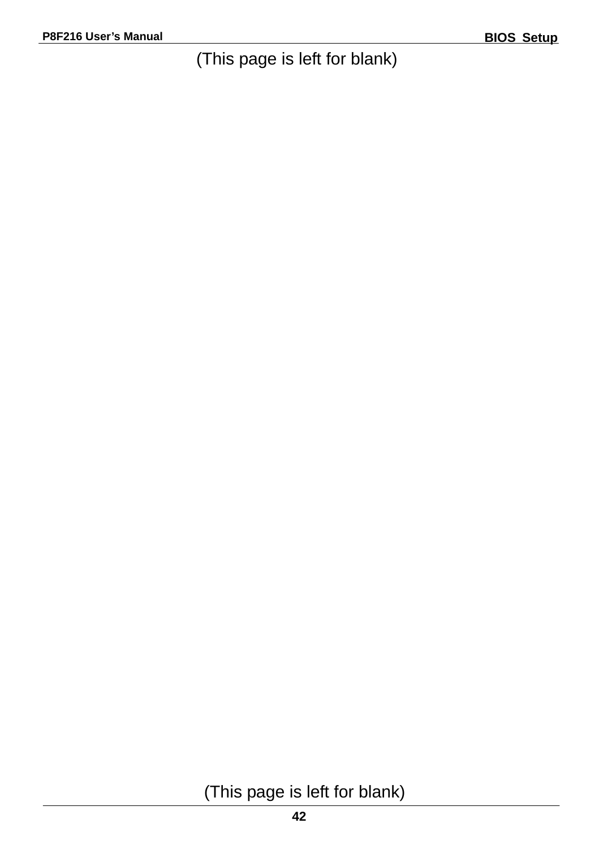# (This page is left for blank)

(This page is left for blank)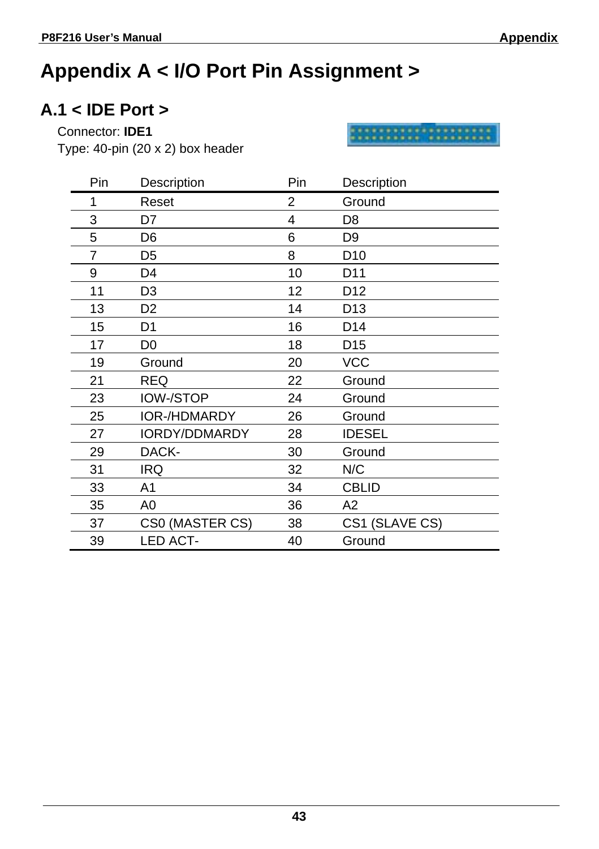# **Appendix A < I/O Port Pin Assignment >**

### **A.1 < IDE Port >**

Connector: **IDE1**

Type: 40-pin (20 x 2) box header

| Pin | Description          | Pin | Description     |
|-----|----------------------|-----|-----------------|
| 1   | Reset                | 2   | Ground          |
| 3   | D7                   | 4   | D <sub>8</sub>  |
| 5   | D <sub>6</sub>       | 6   | D <sub>9</sub>  |
| 7   | D <sub>5</sub>       | 8   | D <sub>10</sub> |
| 9   | D <sub>4</sub>       | 10  | D <sub>11</sub> |
| 11  | D <sub>3</sub>       | 12  | D <sub>12</sub> |
| 13  | D <sub>2</sub>       | 14  | D <sub>13</sub> |
| 15  | D <sub>1</sub>       | 16  | D14             |
| 17  | D <sub>0</sub>       | 18  | D <sub>15</sub> |
| 19  | Ground               | 20  | <b>VCC</b>      |
| 21  | <b>REQ</b>           | 22  | Ground          |
| 23  | <b>IOW-/STOP</b>     | 24  | Ground          |
| 25  | IOR-/HDMARDY         | 26  | Ground          |
| 27  | <b>IORDY/DDMARDY</b> | 28  | <b>IDESEL</b>   |
| 29  | DACK-                | 30  | Ground          |
| 31  | <b>IRQ</b>           | 32  | N/C             |
| 33  | A <sub>1</sub>       | 34  | <b>CBLID</b>    |
| 35  | A0                   | 36  | A2              |
| 37  | CS0 (MASTER CS)      | 38  | CS1 (SLAVE CS)  |
| 39  | <b>LED ACT-</b>      | 40  | Ground          |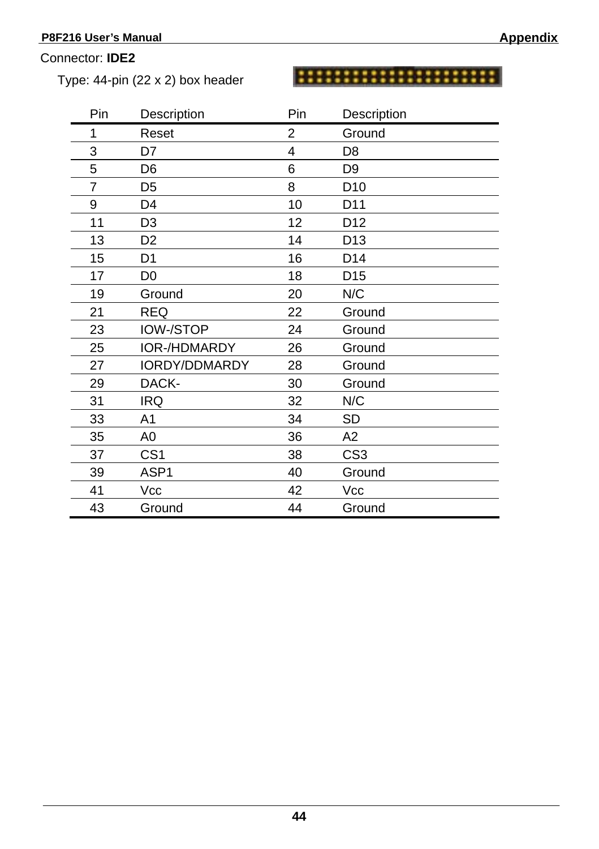#### **P8F216 User's Manual**

#### **Appendix**

#### Connector: **IDE2**

Type: 44-pin (22 x 2) box header

# *BUBBBBBBBBBBB*

| Pin            | Description     | Pin            | Description     |
|----------------|-----------------|----------------|-----------------|
| 1              | Reset           | $\overline{2}$ | Ground          |
| 3              | D7              | $\overline{4}$ | D8              |
| 5              | D <sub>6</sub>  | 6              | D9              |
| $\overline{7}$ | D <sub>5</sub>  | 8              | D <sub>10</sub> |
| 9              | D <sub>4</sub>  | 10             | D11             |
| 11             | D3              | 12             | D <sub>12</sub> |
| 13             | D <sub>2</sub>  | 14             | D <sub>13</sub> |
| 15             | D1              | 16             | D <sub>14</sub> |
| 17             | D <sub>0</sub>  | 18             | D <sub>15</sub> |
| 19             | Ground          | 20             | N/C             |
| 21             | <b>REQ</b>      | 22             | Ground          |
| 23             | IOW-/STOP       | 24             | Ground          |
| 25             | IOR-/HDMARDY    | 26             | Ground          |
| 27             | IORDY/DDMARDY   | 28             | Ground          |
| 29             | DACK-           | 30             | Ground          |
| 31             | <b>IRQ</b>      | 32             | N/C             |
| 33             | A <sub>1</sub>  | 34             | SD              |
| 35             | A0              | 36             | A <sub>2</sub>  |
| 37             | CS <sub>1</sub> | 38             | CS <sub>3</sub> |
| 39             | ASP1            | 40             | Ground          |
| 41             | Vcc             | 42             | Vcc             |
| 43             | Ground          | 44             | Ground          |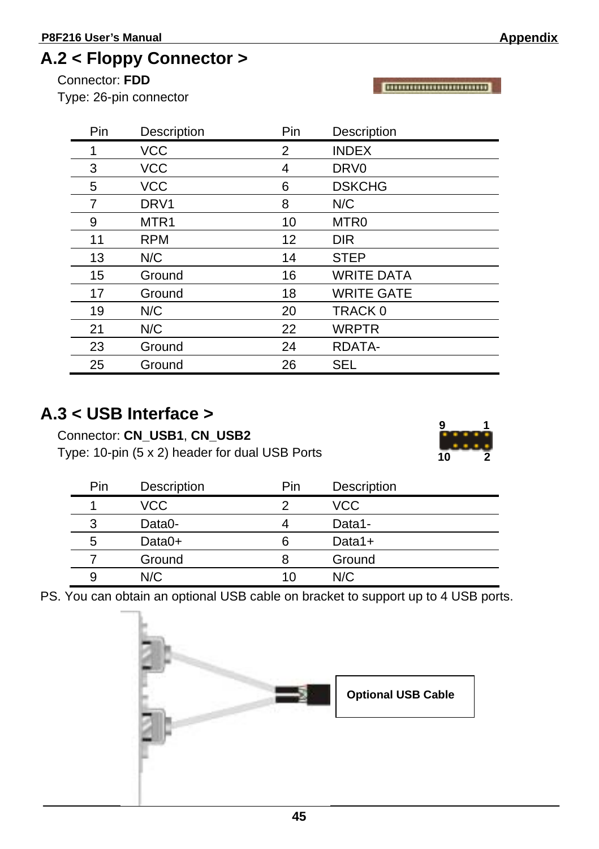**Appendix** 

# **A.2 < Floppy Connector >**

Connector: **FDD**

Type: 26-pin connector

**FIRE RESIDENCE (2009)** 

| Pin | Description      | Pin | Description        |
|-----|------------------|-----|--------------------|
| 1   | <b>VCC</b>       | 2   | <b>INDEX</b>       |
| 3   | <b>VCC</b>       | 4   | DRV <sub>0</sub>   |
| 5   | <b>VCC</b>       | 6   | <b>DSKCHG</b>      |
| 7   | DRV <sub>1</sub> | 8   | N/C                |
| 9   | MTR <sub>1</sub> | 10  | MTR0               |
| 11  | <b>RPM</b>       | 12  | <b>DIR</b>         |
| 13  | N/C              | 14  | <b>STEP</b>        |
| 15  | Ground           | 16  | <b>WRITE DATA</b>  |
| 17  | Ground           | 18  | <b>WRITE GATE</b>  |
| 19  | N/C              | 20  | TRACK <sub>0</sub> |
| 21  | N/C              | 22  | <b>WRPTR</b>       |
| 23  | Ground           | 24  | RDATA-             |
| 25  | Ground           | 26  | <b>SEL</b>         |

## **A.3 < USB Interface >**

Connector: **CN\_USB1**, **CN\_USB2** Type: 10-pin (5 x 2) header for dual USB Ports



| Pin | Description | Pin | Description |  |
|-----|-------------|-----|-------------|--|
|     | VCC         |     | <b>VCC</b>  |  |
| 3   | Data0-      |     | Data1-      |  |
| 5   | Data0+      |     | Data $1+$   |  |
|     | Ground      |     | Ground      |  |
| 9   | N/C         | 10  | N/C         |  |

PS. You can obtain an optional USB cable on bracket to support up to 4 USB ports.

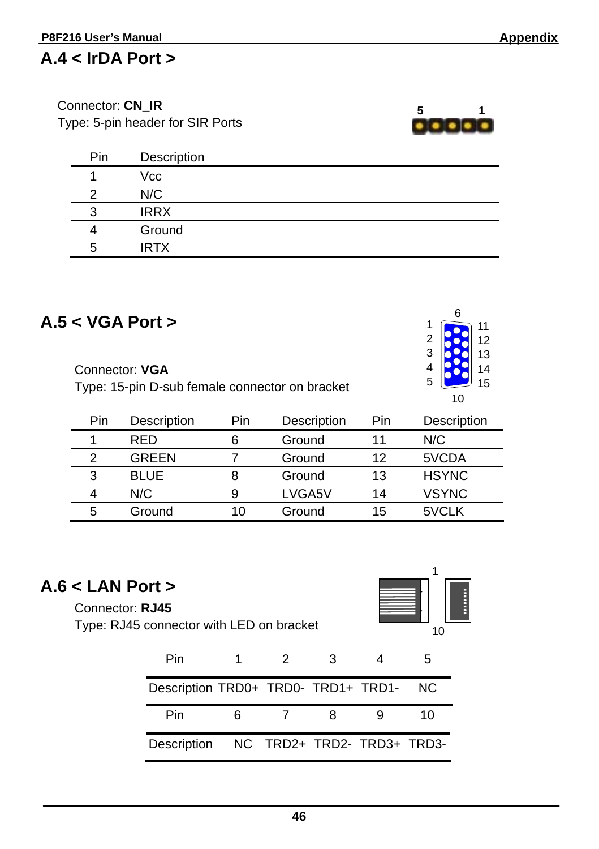### **A.4 < IrDA Port >**

| Connector: CN_IR<br>Type: 5-pin header for SIR Ports |     |             | 5 |
|------------------------------------------------------|-----|-------------|---|
|                                                      | Pin | Description |   |
|                                                      |     | Vcc         |   |
|                                                      | 2   | N/C         |   |
|                                                      | 3   | <b>IRRX</b> |   |
|                                                      |     | Ground      |   |
|                                                      |     | <b>IRTX</b> |   |

**A.5 < VGA Port >** 

Connector: **VGA**

Type: 15-pin D-sub female connector on bracket

| Pin | Description  | Pin | Description | Pin | Description  |
|-----|--------------|-----|-------------|-----|--------------|
|     | <b>RED</b>   | 6   | Ground      | 11  | N/C          |
|     | <b>GREEN</b> |     | Ground      | 12  | 5VCDA        |
| 3   | <b>BLUE</b>  | 8   | Ground      | 13  | <b>HSYNC</b> |
| 4   | N/C          | 9   | LVGA5V      | 14  | <b>VSYNC</b> |
| 5   | Ground       | 10  | Ground      | 15  | 5VCLK        |

## **A.6 < LAN Port >**

#### Connector: **RJ45**

Type: RJ45 connector with LED on bracket



6

10

| Pin                                    |   | 3 | ٠h  |
|----------------------------------------|---|---|-----|
| Description TRD0+ TRD0- TRD1+ TRD1-    |   |   | NC. |
| Pin                                    | 6 | 8 | 10  |
| Description NC TRD2+ TRD2- TRD3+ TRD3- |   |   |     |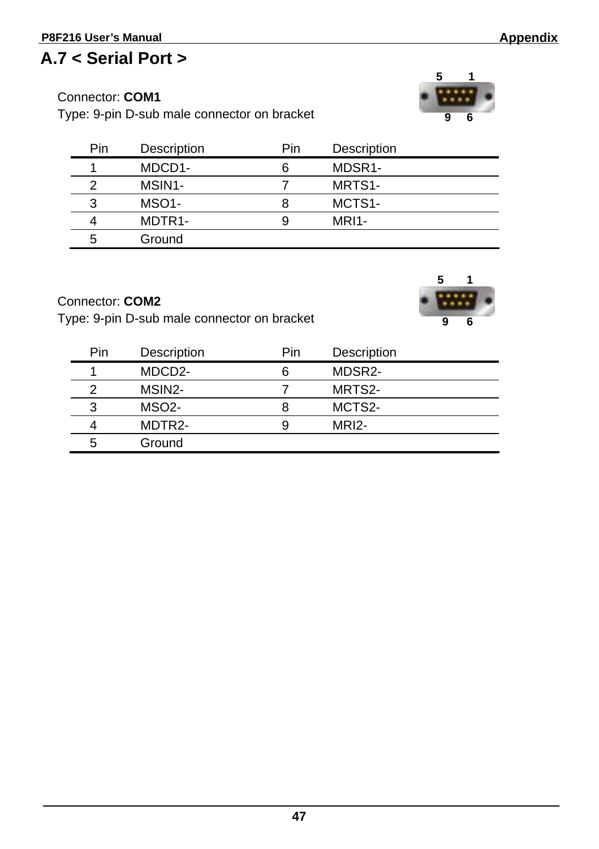# **A.7 < Serial Port >**

Connector: **COM1**

Type: 9-pin D-sub male connector on bracket



| Pin | Description         | Pin | Description |
|-----|---------------------|-----|-------------|
|     | MDCD1-              | 6   | MDSR1-      |
|     | MSIN <sub>1</sub> - |     | MRTS1-      |
| 3   | MSO <sub>1</sub> -  | 8   | MCTS1-      |
|     | MDTR <sub>1</sub> - | 9   | MRI1-       |
| 5   | Ground              |     |             |

#### Connector: **COM2**

Type: 9-pin D-sub male connector on bracket



| Pin | Description        | Pin | Description |  |
|-----|--------------------|-----|-------------|--|
|     | MDCD2-             | 6   | MDSR2-      |  |
|     | MSIN2-             |     | MRTS2-      |  |
| 3   | MSO <sub>2</sub> - | 8   | MCTS2-      |  |
| 4   | MDTR2-             | 9   | MRI2-       |  |
| 5   | Ground             |     |             |  |

**Appendix**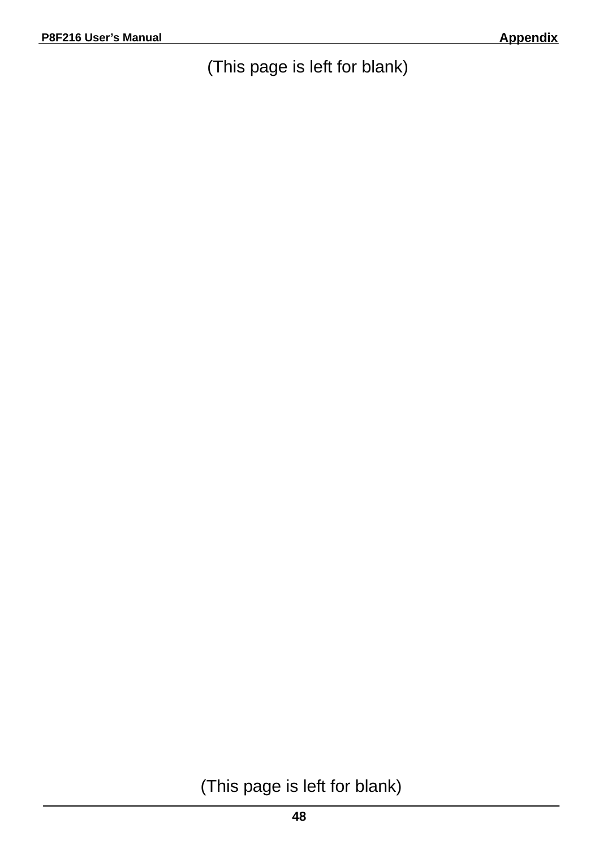# (This page is left for blank)

(This page is left for blank)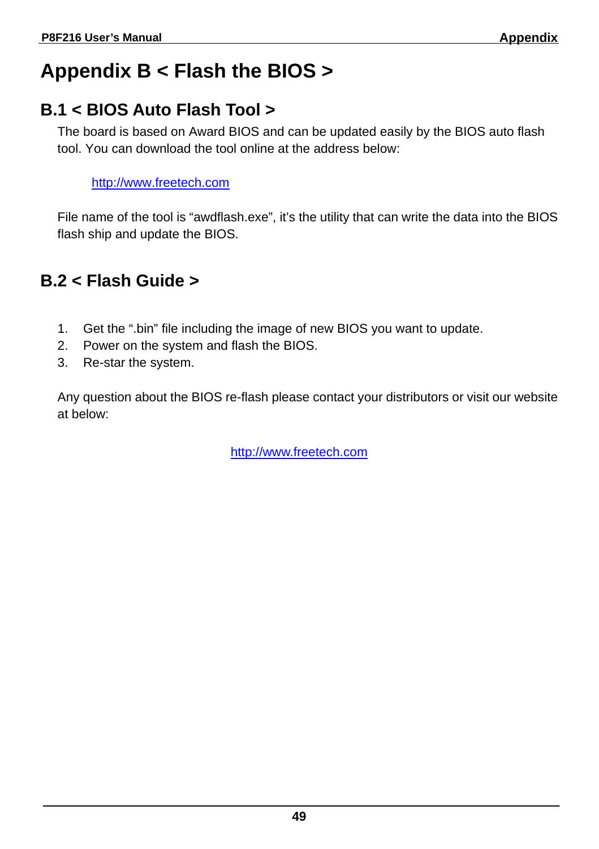# **Appendix B < Flash the BIOS >**

### **B.1 < BIOS Auto Flash Tool >**

The board is based on Award BIOS and can be updated easily by the BIOS auto flash tool. You can download the tool online at the address below:

#### http://www.freetech.com

File name of the tool is "awdflash.exe", it's the utility that can write the data into the BIOS flash ship and update the BIOS.

### **B.2 < Flash Guide >**

- 1. Get the ".bin" file including the image of new BIOS you want to update.
- 2. Power on the system and flash the BIOS.
- 3. Re-star the system.

Any question about the BIOS re-flash please contact your distributors or visit our website at below:

http://www.freetech.com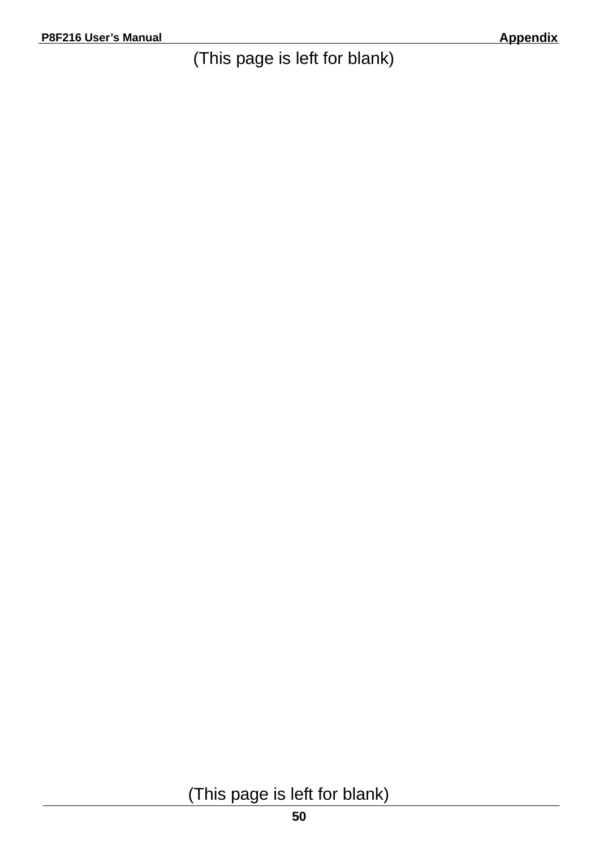(This page is left for blank)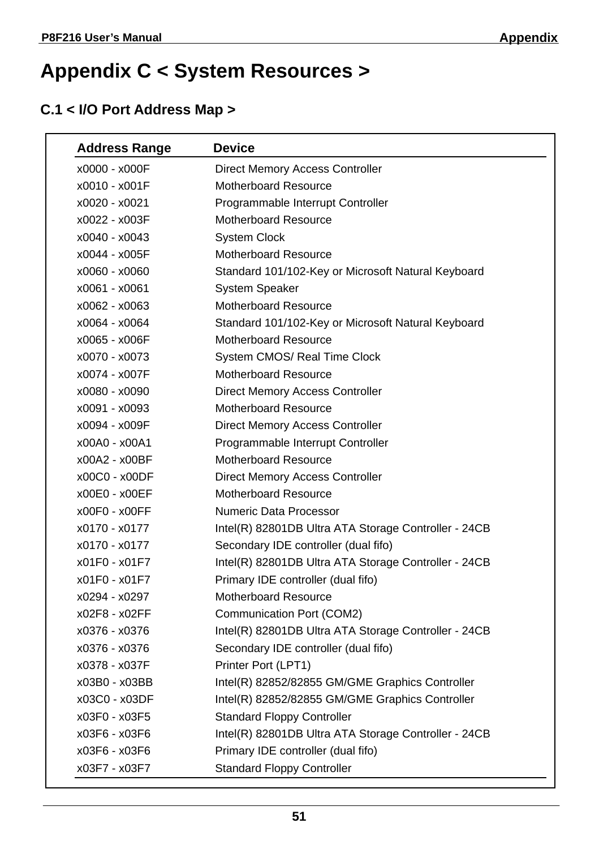# **Appendix C < System Resources >**

### **C.1 < I/O Port Address Map >**

| <b>Address Range</b> | <b>Device</b>                                        |
|----------------------|------------------------------------------------------|
| x0000 - x000F        | Direct Memory Access Controller                      |
| x0010 - x001F        | <b>Motherboard Resource</b>                          |
| x0020 - x0021        | Programmable Interrupt Controller                    |
| x0022 - x003F        | <b>Motherboard Resource</b>                          |
| x0040 - x0043        | <b>System Clock</b>                                  |
| x0044 - x005F        | <b>Motherboard Resource</b>                          |
| x0060 - x0060        | Standard 101/102-Key or Microsoft Natural Keyboard   |
| x0061 - x0061        | System Speaker                                       |
| x0062 - x0063        | <b>Motherboard Resource</b>                          |
| x0064 - x0064        | Standard 101/102-Key or Microsoft Natural Keyboard   |
| x0065 - x006F        | Motherboard Resource                                 |
| x0070 - x0073        | System CMOS/ Real Time Clock                         |
| x0074 - x007F        | <b>Motherboard Resource</b>                          |
| x0080 - x0090        | <b>Direct Memory Access Controller</b>               |
| x0091 - x0093        | Motherboard Resource                                 |
| x0094 - x009F        | <b>Direct Memory Access Controller</b>               |
| x00A0 - x00A1        | Programmable Interrupt Controller                    |
| x00A2 - x00BF        | <b>Motherboard Resource</b>                          |
| x00C0 - x00DF        | Direct Memory Access Controller                      |
| x00E0 - x00EF        | <b>Motherboard Resource</b>                          |
| x00F0 - x00FF        | Numeric Data Processor                               |
| x0170 - x0177        | Intel(R) 82801DB Ultra ATA Storage Controller - 24CB |
| x0170 - x0177        | Secondary IDE controller (dual fifo)                 |
| x01F0 - x01F7        | Intel(R) 82801DB Ultra ATA Storage Controller - 24CB |
| x01F0 - x01F7        | Primary IDE controller (dual fifo)                   |
| x0294 - x0297        | <b>Motherboard Resource</b>                          |
| x02F8 - x02FF        | Communication Port (COM2)                            |
| x0376 - x0376        | Intel(R) 82801DB Ultra ATA Storage Controller - 24CB |
| x0376 - x0376        | Secondary IDE controller (dual fifo)                 |
| x0378 - x037F        | Printer Port (LPT1)                                  |
| x03B0 - x03BB        | Intel(R) 82852/82855 GM/GME Graphics Controller      |
| x03C0 - x03DF        | Intel(R) 82852/82855 GM/GME Graphics Controller      |
| x03F0 - x03F5        | <b>Standard Floppy Controller</b>                    |
| x03F6 - x03F6        | Intel(R) 82801DB Ultra ATA Storage Controller - 24CB |
| x03F6 - x03F6        | Primary IDE controller (dual fifo)                   |
| x03F7 - x03F7        | <b>Standard Floppy Controller</b>                    |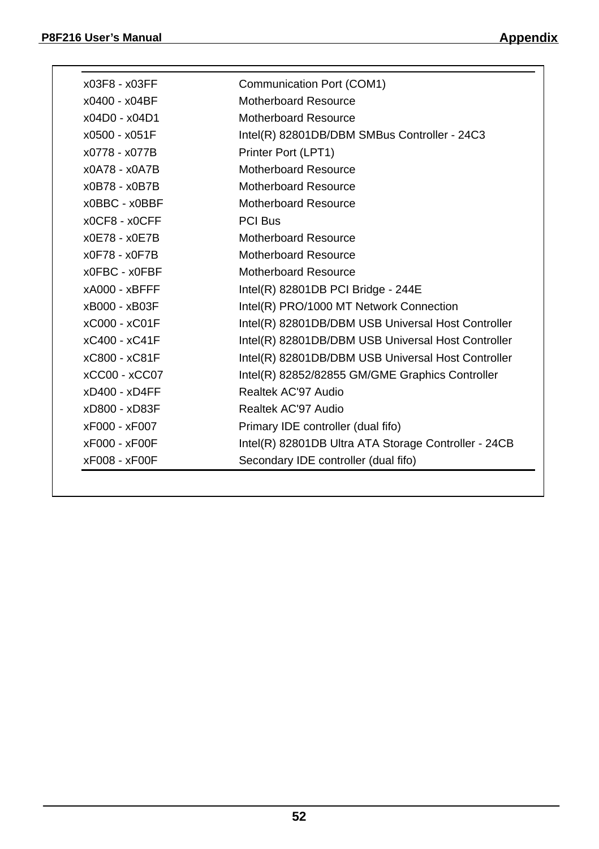| x03F8 - x03FF   | Communication Port (COM1)                            |
|-----------------|------------------------------------------------------|
| x0400 - x04BF   | Motherboard Resource                                 |
| x04D0 - x04D1   | <b>Motherboard Resource</b>                          |
| x0500 - x051F   | Intel(R) 82801DB/DBM SMBus Controller - 24C3         |
| x0778 - x077B   | Printer Port (LPT1)                                  |
| x0A78 - x0A7B   | Motherboard Resource                                 |
| x0B78 - x0B7B   | Motherboard Resource                                 |
| x0BBC - x0BBF   | Motherboard Resource                                 |
| $x0CF8 - x0CFF$ | <b>PCI Bus</b>                                       |
| x0E78 - x0E7B   | Motherboard Resource                                 |
| x0F78 - x0F7B   | Motherboard Resource                                 |
| x0FBC - x0FBF   | Motherboard Resource                                 |
| $xA000 - xBFFF$ | Intel(R) $82801DB$ PCI Bridge - $244E$               |
| xB000 - xB03F   | Intel(R) PRO/1000 MT Network Connection              |
| xC000 - xC01F   | Intel(R) 82801DB/DBM USB Universal Host Controller   |
| xC400 - xC41F   | Intel(R) 82801DB/DBM USB Universal Host Controller   |
| xC800 - xC81F   | Intel(R) 82801DB/DBM USB Universal Host Controller   |
| xCC00 - xCC07   | Intel(R) 82852/82855 GM/GME Graphics Controller      |
| $xD400 - xD4FF$ | Realtek AC'97 Audio                                  |
| xD800 - xD83F   | Realtek AC'97 Audio                                  |
| xF000 - xF007   | Primary IDE controller (dual fifo)                   |
| xF000 - xF00F   | Intel(R) 82801DB Ultra ATA Storage Controller - 24CB |
| xF008 - xF00F   | Secondary IDE controller (dual fifo)                 |
|                 |                                                      |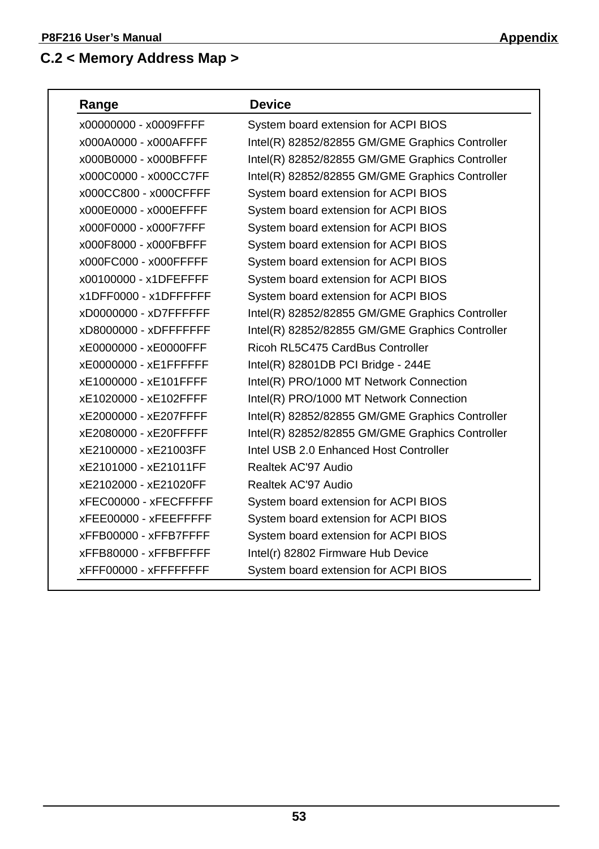### **C.2 < Memory Address Map >**

| Range                  | <b>Device</b>                                   |
|------------------------|-------------------------------------------------|
| x00000000 - x0009FFFF  | System board extension for ACPI BIOS            |
| x000A0000 - x000AFFFF  | Intel(R) 82852/82855 GM/GME Graphics Controller |
| x000B0000 - x000BFFFF  | Intel(R) 82852/82855 GM/GME Graphics Controller |
| x000C0000 - x000CC7FF  | Intel(R) 82852/82855 GM/GME Graphics Controller |
| x000CC800 - x000CFFFF  | System board extension for ACPI BIOS            |
| x000E0000 - x000EFFFF  | System board extension for ACPI BIOS            |
| x000F0000 - x000F7FFF  | System board extension for ACPI BIOS            |
| x000F8000 - x000FBFFF  | System board extension for ACPI BIOS            |
| x000FC000 - x000FFFFF  | System board extension for ACPI BIOS            |
| x00100000 - x1DFEFFFF  | System board extension for ACPI BIOS            |
| x1DFF0000 - x1DFFFFFF  | System board extension for ACPI BIOS            |
| xD0000000 - xD7FFFFFF  | Intel(R) 82852/82855 GM/GME Graphics Controller |
| xD8000000 - xDFFFFFFF  | Intel(R) 82852/82855 GM/GME Graphics Controller |
| xE0000000 - xE0000FFF  | Ricoh RL5C475 CardBus Controller                |
| xE0000000 - xE1FFFFFF  | Intel(R) $82801DB$ PCI Bridge - $244E$          |
| xE1000000 - xE101FFFF  | Intel(R) PRO/1000 MT Network Connection         |
| xE1020000 - xE102FFFF  | Intel(R) PRO/1000 MT Network Connection         |
| xE2000000 - xE207FFFF  | Intel(R) 82852/82855 GM/GME Graphics Controller |
| xE2080000 - xE20FFFFF  | Intel(R) 82852/82855 GM/GME Graphics Controller |
| xE2100000 - xE21003FF  | Intel USB 2.0 Enhanced Host Controller          |
| xE2101000 - xE21011FF  | Realtek AC'97 Audio                             |
| xE2102000 - xE21020FF  | Realtek AC'97 Audio                             |
| xFEC00000 - xFECFFFFF  | System board extension for ACPI BIOS            |
| xFEE00000 - xFEEFFFFF  | System board extension for ACPI BIOS            |
| xFFB00000 - xFFB7FFFF  | System board extension for ACPI BIOS            |
| xFFB80000 - xFFBFFFFF  | Intel(r) 82802 Firmware Hub Device              |
| xFFF00000 - xFFFFFFFFF | System board extension for ACPI BIOS            |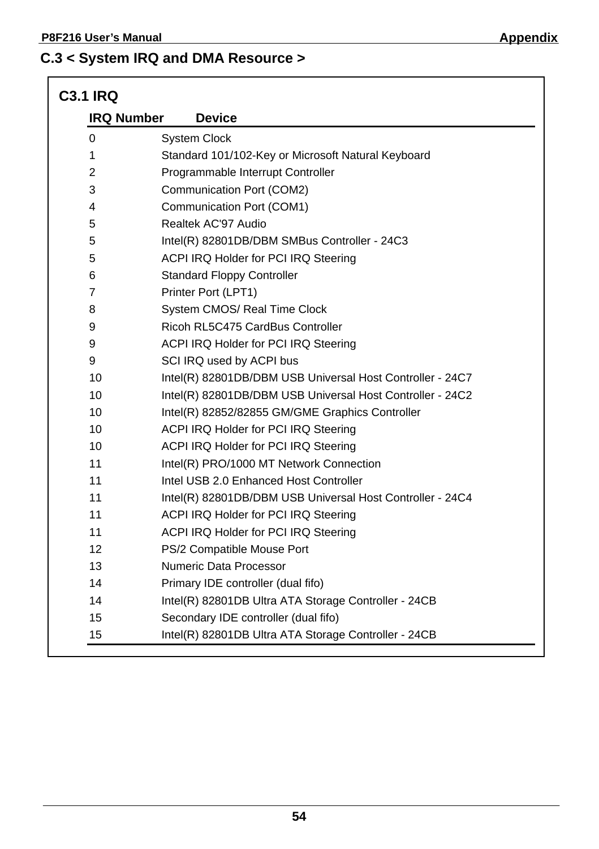### **C.3 < System IRQ and DMA Resource >**

|             | <b>C3.1 IRQ</b>                    |                                                           |  |
|-------------|------------------------------------|-----------------------------------------------------------|--|
|             | <b>IRQ Number</b><br><b>Device</b> |                                                           |  |
| $\mathbf 0$ |                                    | <b>System Clock</b>                                       |  |
| 1           |                                    | Standard 101/102-Key or Microsoft Natural Keyboard        |  |
| 2           |                                    | Programmable Interrupt Controller                         |  |
| 3           |                                    | Communication Port (COM2)                                 |  |
| 4           |                                    | Communication Port (COM1)                                 |  |
| 5           |                                    | Realtek AC'97 Audio                                       |  |
| 5           |                                    | Intel(R) 82801DB/DBM SMBus Controller - 24C3              |  |
| 5           |                                    | ACPI IRQ Holder for PCI IRQ Steering                      |  |
| 6           |                                    | <b>Standard Floppy Controller</b>                         |  |
| 7           |                                    | Printer Port (LPT1)                                       |  |
| 8           |                                    | System CMOS/ Real Time Clock                              |  |
| 9           |                                    | Ricoh RL5C475 CardBus Controller                          |  |
| 9           |                                    | ACPI IRQ Holder for PCI IRQ Steering                      |  |
| 9           |                                    | SCI IRQ used by ACPI bus                                  |  |
|             | 10                                 | Intel(R) 82801DB/DBM USB Universal Host Controller - 24C7 |  |
|             | 10                                 | Intel(R) 82801DB/DBM USB Universal Host Controller - 24C2 |  |
|             | 10                                 | Intel(R) 82852/82855 GM/GME Graphics Controller           |  |
|             | 10                                 | ACPI IRQ Holder for PCI IRQ Steering                      |  |
|             | 10                                 | ACPI IRQ Holder for PCI IRQ Steering                      |  |
|             | 11                                 | Intel(R) PRO/1000 MT Network Connection                   |  |
|             | 11                                 | Intel USB 2.0 Enhanced Host Controller                    |  |
|             | 11                                 | Intel(R) 82801DB/DBM USB Universal Host Controller - 24C4 |  |
|             | 11                                 | ACPI IRQ Holder for PCI IRQ Steering                      |  |
|             | 11                                 | ACPI IRQ Holder for PCI IRQ Steering                      |  |
|             | 12                                 | PS/2 Compatible Mouse Port                                |  |
|             | 13                                 | Numeric Data Processor                                    |  |
|             | 14                                 | Primary IDE controller (dual fifo)                        |  |
|             | 14                                 | Intel(R) 82801DB Ultra ATA Storage Controller - 24CB      |  |
|             | 15                                 | Secondary IDE controller (dual fifo)                      |  |
|             | 15                                 | Intel(R) 82801DB Ultra ATA Storage Controller - 24CB      |  |
|             |                                    |                                                           |  |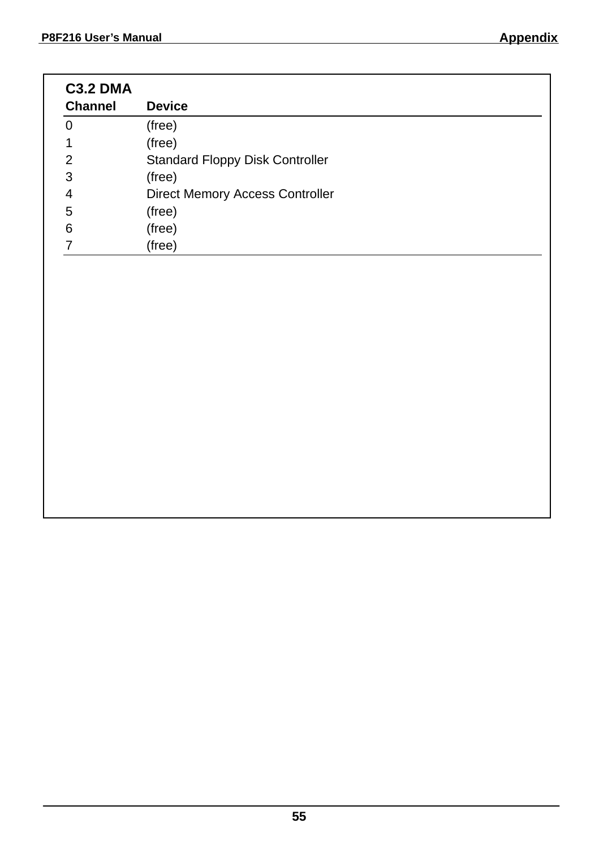| <b>C3.2 DMA</b><br><b>Channel</b> | <b>Device</b>                          |
|-----------------------------------|----------------------------------------|
| 0                                 | (free)                                 |
|                                   | (free)                                 |
| 2                                 | <b>Standard Floppy Disk Controller</b> |
| 3                                 | (free)                                 |
| 4                                 | <b>Direct Memory Access Controller</b> |
| 5                                 | (free)                                 |
| 6                                 | (free)                                 |
|                                   | (free)                                 |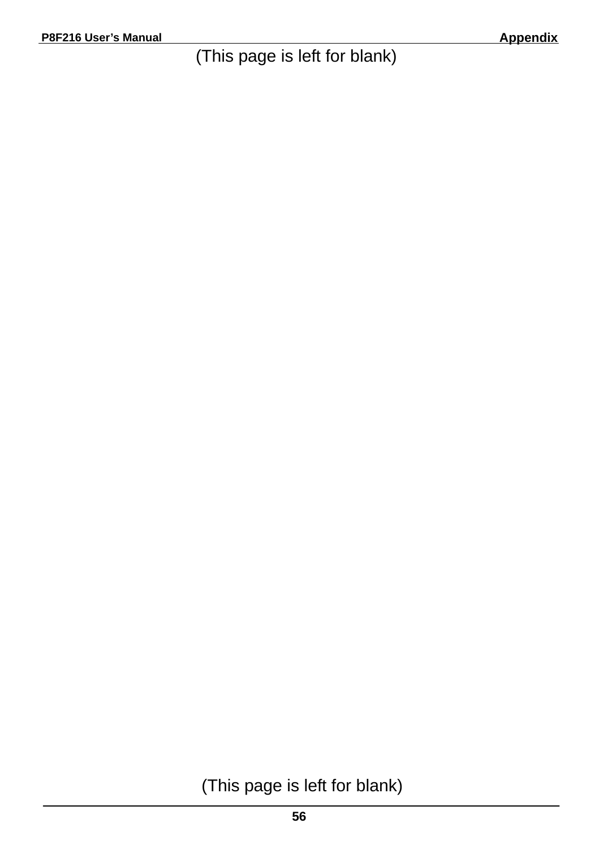# (This page is left for blank)

(This page is left for blank)